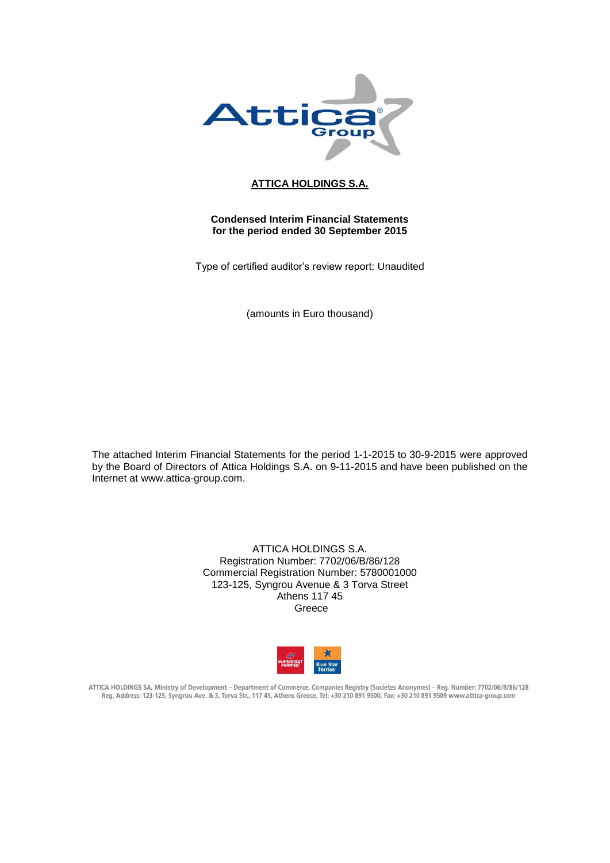

# **ATTICA HOLDINGS S.A.**

# **Condensed Interim Financial Statements for the period ended 30 September 2015**

Type of certified auditor's review report: Unaudited

(amounts in Euro thousand)

The attached Interim Financial Statements for the period 1-1-2015 to 30-9-2015 were approved by the Board of Directors of Attica Holdings S.A. on 9-11-2015 and have been published on the Internet at www.attica-group.com.

> ATTICA HOLDINGS S.A. Registration Number: 7702/06/B/86/128 Commercial Registration Number: 5780001000 123-125, Syngrou Avenue & 3 Torva Street Athens 117 45 Greece



ATTICA HOLDINGS SA, Ministry of Development - Department of Commerce, Companies Registry (Societes Anonymes) - Reg. Number: 7702/06/B/86/128 Reg. Address: 123-125, Syngrou Ave. & 3, Torva Str., 117 45, Athens Greece, Tel: +30 210 891 9500, Fax: +30 210 891 9509 www.attica-group.com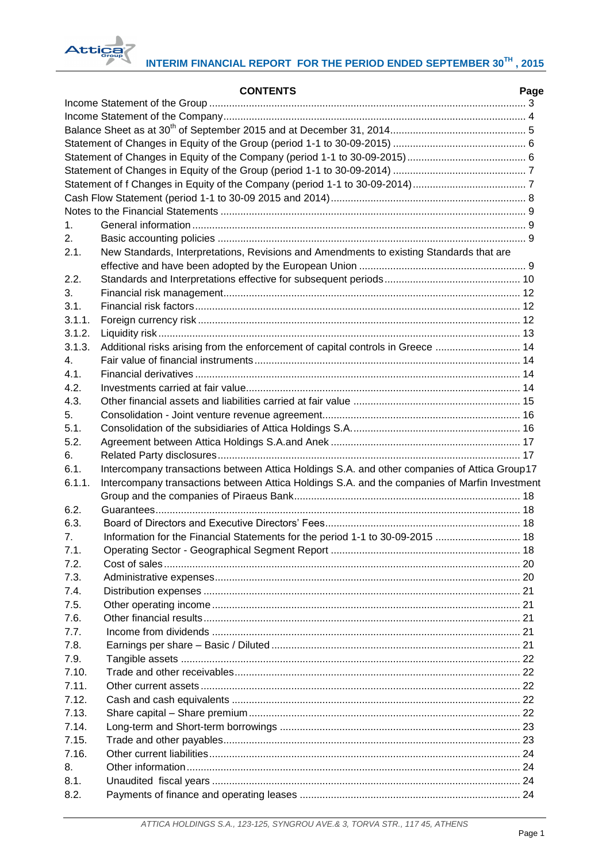

# **INTERIM FINANCIAL REPORT FOR THE PERIOD ENDED SEPTEMBER 30TH , 2015**

|         | <b>CONTENTS</b>                                                                               | Page |
|---------|-----------------------------------------------------------------------------------------------|------|
|         |                                                                                               |      |
|         |                                                                                               |      |
|         |                                                                                               |      |
|         |                                                                                               |      |
|         |                                                                                               |      |
|         |                                                                                               |      |
|         |                                                                                               |      |
|         |                                                                                               |      |
|         |                                                                                               |      |
| 1.      |                                                                                               |      |
| 2.      |                                                                                               |      |
| 2.1.    | New Standards, Interpretations, Revisions and Amendments to existing Standards that are       |      |
|         |                                                                                               |      |
| 2.2.    |                                                                                               |      |
| 3.      |                                                                                               |      |
| 3.1.    |                                                                                               |      |
| 3.1.1.  |                                                                                               |      |
| 3.1.2.  |                                                                                               |      |
| 3.1.3.  | Additional risks arising from the enforcement of capital controls in Greece  14               |      |
| $4_{-}$ |                                                                                               |      |
| 4.1.    |                                                                                               |      |
| 4.2.    |                                                                                               |      |
| 4.3.    |                                                                                               |      |
| 5.      |                                                                                               |      |
| 5.1.    |                                                                                               |      |
| 5.2.    |                                                                                               |      |
|         |                                                                                               |      |
| 6.      |                                                                                               |      |
| 6.1.    | Intercompany transactions between Attica Holdings S.A. and other companies of Attica Group17  |      |
| 6.1.1.  | Intercompany transactions between Attica Holdings S.A. and the companies of Marfin Investment |      |
|         |                                                                                               |      |
| 6.2.    |                                                                                               |      |
| 6.3.    |                                                                                               |      |
| 7.      | Information for the Financial Statements for the period 1-1 to 30-09-2015  18                 |      |
| 7.1.    |                                                                                               |      |
| 7.2.    |                                                                                               |      |
| 7.3.    |                                                                                               |      |
| 7.4.    |                                                                                               |      |
| 7.5.    |                                                                                               |      |
| 7.6.    |                                                                                               |      |
| 77      |                                                                                               |      |
| 7.8.    |                                                                                               |      |
| 7.9.    |                                                                                               |      |
| 7.10.   |                                                                                               |      |
| 7.11.   |                                                                                               |      |
| 7.12.   |                                                                                               |      |
| 7.13.   |                                                                                               |      |
| 7.14.   |                                                                                               |      |
| 7.15.   |                                                                                               |      |
| 7.16.   |                                                                                               |      |
| 8.      |                                                                                               |      |
| 8.1.    |                                                                                               |      |
| 8.2.    |                                                                                               |      |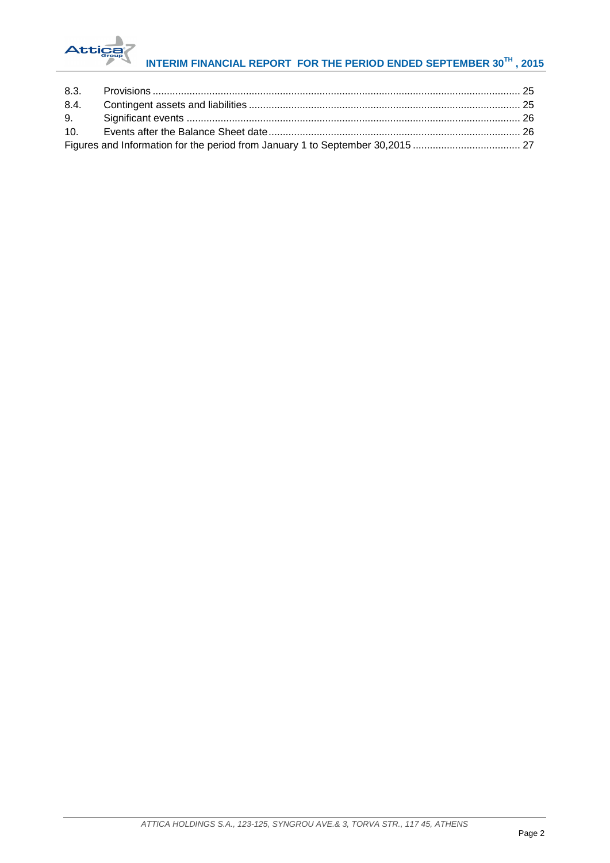

# **INTERIM FINANCIAL REPORT FOR THE PERIOD ENDED SEPTEMBER 30TH , 2015**

| Figures and Information for the period from January 1 to September 30,2015  27 |  |
|--------------------------------------------------------------------------------|--|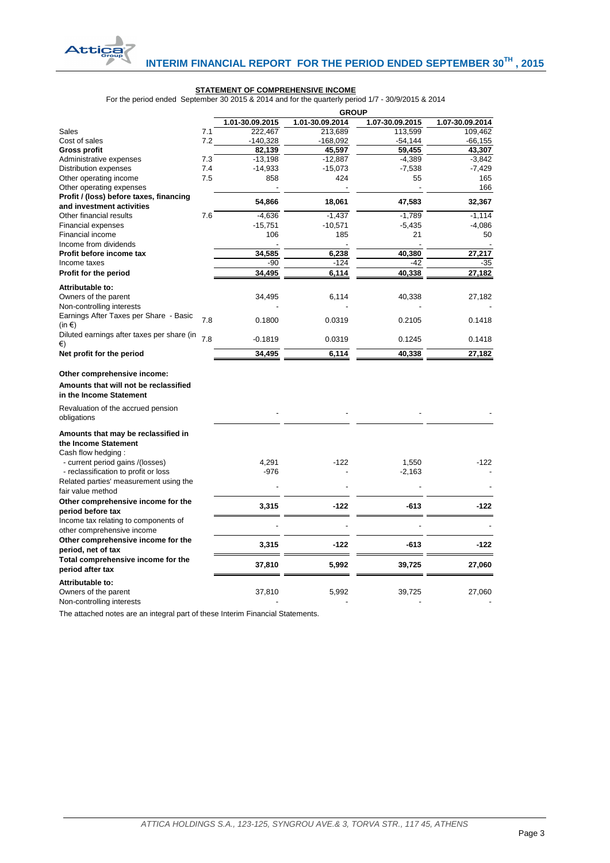

#### **STATEMENT OF COMPREHENSIVE INCOME**

For the period ended September 30 2015 & 2014 and for the quarterly period 1/7 - 30/9/2015 & 2014

|                                                  |     | <b>GROUP</b>    |                 |                 |                 |  |  |
|--------------------------------------------------|-----|-----------------|-----------------|-----------------|-----------------|--|--|
|                                                  |     | 1.01-30.09.2015 | 1.01-30.09.2014 | 1.07-30.09.2015 | 1.07-30.09.2014 |  |  |
| Sales                                            | 7.1 | 222,467         | 213,689         | 113,599         | 109,462         |  |  |
| Cost of sales                                    | 7.2 | $-140,328$      | -168,092        | $-54,144$       | $-66, 155$      |  |  |
| <b>Gross profit</b>                              |     | 82.139          | 45.597          | 59.455          | 43,307          |  |  |
| Administrative expenses                          | 7.3 | $-13,198$       | $-12,887$       | $-4,389$        | $-3,842$        |  |  |
| <b>Distribution expenses</b>                     | 7.4 | $-14,933$       | $-15,073$       | $-7,538$        | $-7,429$        |  |  |
| Other operating income                           | 7.5 | 858             | 424             | 55              | 165             |  |  |
| Other operating expenses                         |     |                 |                 |                 | 166             |  |  |
| Profit / (loss) before taxes, financing          |     | 54,866          | 18,061          | 47,583          | 32,367          |  |  |
| and investment activities                        |     |                 |                 |                 |                 |  |  |
| Other financial results                          | 7.6 | $-4,636$        | $-1,437$        | $-1,789$        | $-1,114$        |  |  |
| Financial expenses                               |     | $-15,751$       | $-10,571$       | $-5,435$        | $-4,086$        |  |  |
| Financial income                                 |     | 106             | 185             | 21              | 50              |  |  |
| Income from dividends                            |     |                 |                 |                 |                 |  |  |
| Profit before income tax                         |     | 34,585          | 6,238           | 40,380          | 27,217          |  |  |
| Income taxes                                     |     | -90             | $-124$          | $-42$           | -35             |  |  |
| Profit for the period                            |     | 34,495          | 6,114           | 40,338          | 27,182          |  |  |
| Attributable to:                                 |     |                 |                 |                 |                 |  |  |
| Owners of the parent                             |     | 34,495          | 6,114           | 40,338          |                 |  |  |
| Non-controlling interests                        |     |                 |                 |                 | 27,182          |  |  |
| Earnings After Taxes per Share - Basic           |     |                 |                 |                 |                 |  |  |
| $(in \in)$                                       | 7.8 | 0.1800          | 0.0319          | 0.2105          | 0.1418          |  |  |
|                                                  |     |                 |                 |                 |                 |  |  |
| Diluted earnings after taxes per share (in<br>€) | 7.8 | $-0.1819$       | 0.0319          | 0.1245          | 0.1418          |  |  |
| Net profit for the period                        |     | 34,495          | 6,114           | 40,338          | 27,182          |  |  |
|                                                  |     |                 |                 |                 |                 |  |  |
| Other comprehensive income:                      |     |                 |                 |                 |                 |  |  |
|                                                  |     |                 |                 |                 |                 |  |  |
| Amounts that will not be reclassified            |     |                 |                 |                 |                 |  |  |
| in the Income Statement                          |     |                 |                 |                 |                 |  |  |
| Revaluation of the accrued pension               |     |                 |                 |                 |                 |  |  |
| obligations                                      |     |                 |                 |                 |                 |  |  |
|                                                  |     |                 |                 |                 |                 |  |  |
| Amounts that may be reclassified in              |     |                 |                 |                 |                 |  |  |
| the Income Statement                             |     |                 |                 |                 |                 |  |  |
| Cash flow hedging:                               |     |                 |                 |                 |                 |  |  |
| - current period gains /(losses)                 |     | 4,291           | $-122$          | 1,550           | $-122$          |  |  |
| - reclassification to profit or loss             |     | $-976$          |                 | $-2,163$        |                 |  |  |
| Related parties' measurement using the           |     |                 |                 |                 |                 |  |  |
| fair value method                                |     |                 |                 |                 |                 |  |  |
| Other comprehensive income for the               |     | 3,315           | $-122$          | $-613$          | $-122$          |  |  |
| period before tax                                |     |                 |                 |                 |                 |  |  |
| Income tax relating to components of             |     |                 |                 |                 |                 |  |  |
| other comprehensive income                       |     |                 |                 |                 |                 |  |  |
| Other comprehensive income for the               |     |                 | $-122$          | $-613$          | -122            |  |  |
| period, net of tax                               |     | 3,315           |                 |                 |                 |  |  |
| Total comprehensive income for the               |     |                 |                 |                 |                 |  |  |
| period after tax                                 |     | 37,810          | 5,992           | 39,725          | 27,060          |  |  |
| Attributable to:                                 |     |                 |                 |                 |                 |  |  |
| Owners of the parent                             |     | 37,810          | 5,992           | 39,725          | 27,060          |  |  |
| Non-controlling interests                        |     |                 |                 |                 |                 |  |  |

<span id="page-3-0"></span>The attached notes are an integral part of these Interim Financial Statements.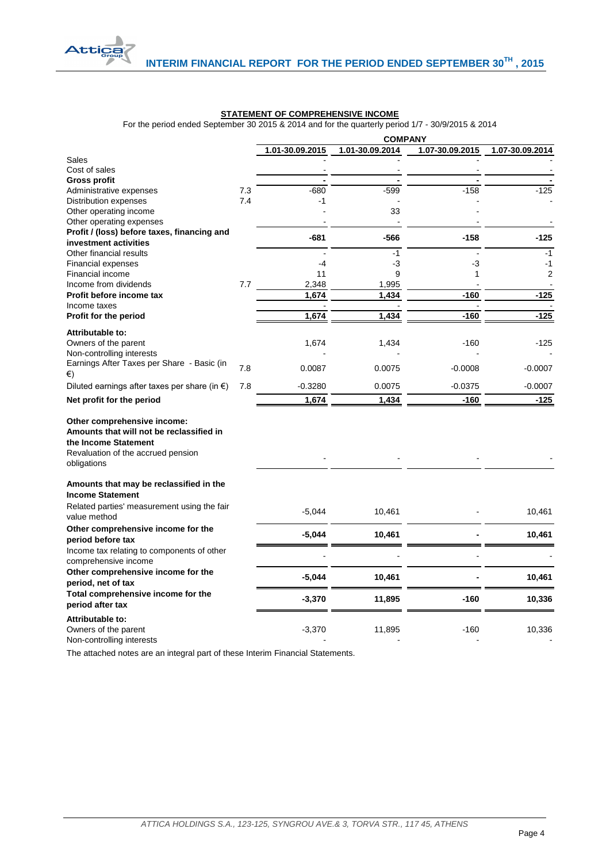

# **STATEMENT OF COMPREHENSIVE INCOME**

For the period ended September 30 2015 & 2014 and for the quarterly period 1/7 - 30/9/2015 & 2014

|                                                                                                                                                      |     | 1.01-30.09.2015 | 1.01-30.09.2014 | 1.07-30.09.2015 | 1.07-30.09.2014 |
|------------------------------------------------------------------------------------------------------------------------------------------------------|-----|-----------------|-----------------|-----------------|-----------------|
| Sales                                                                                                                                                |     |                 |                 |                 |                 |
| Cost of sales                                                                                                                                        |     |                 |                 |                 |                 |
| <b>Gross profit</b>                                                                                                                                  |     | $\blacksquare$  |                 |                 |                 |
| Administrative expenses                                                                                                                              | 7.3 | $-680$          | $-599$          | $-158$          | $-125$          |
| Distribution expenses                                                                                                                                | 7.4 | -1              |                 |                 |                 |
| Other operating income                                                                                                                               |     |                 | 33              |                 |                 |
| Other operating expenses                                                                                                                             |     |                 |                 |                 |                 |
| Profit / (loss) before taxes, financing and                                                                                                          |     | $-681$          | $-566$          | $-158$          | $-125$          |
| investment activities                                                                                                                                |     |                 | $-1$            |                 | $-1$            |
| Other financial results                                                                                                                              |     | $-4$            | $-3$            | -3              | $-1$            |
| Financial expenses<br>Financial income                                                                                                               |     | 11              | 9               | 1               | $\overline{2}$  |
| Income from dividends                                                                                                                                | 7.7 | 2,348           | 1,995           |                 |                 |
| Profit before income tax                                                                                                                             |     | 1,674           | 1,434           | $-160$          | $-125$          |
| Income taxes                                                                                                                                         |     |                 |                 |                 |                 |
| Profit for the period                                                                                                                                |     | 1,674           | 1,434           | $-160$          | $-125$          |
| Attributable to:                                                                                                                                     |     |                 |                 |                 |                 |
| Owners of the parent                                                                                                                                 |     | 1,674           | 1,434           | $-160$          | -125            |
| Non-controlling interests                                                                                                                            |     |                 |                 |                 |                 |
| Earnings After Taxes per Share - Basic (in                                                                                                           |     |                 |                 |                 |                 |
| €)                                                                                                                                                   | 7.8 | 0.0087          | 0.0075          | $-0.0008$       | $-0.0007$       |
| Diluted earnings after taxes per share (in $\epsilon$ )                                                                                              | 7.8 | $-0.3280$       | 0.0075          | $-0.0375$       | $-0.0007$       |
| Net profit for the period                                                                                                                            |     | 1,674           | 1,434           | $-160$          | $-125$          |
| Other comprehensive income:<br>Amounts that will not be reclassified in<br>the Income Statement<br>Revaluation of the accrued pension<br>obligations |     |                 |                 |                 |                 |
| Amounts that may be reclassified in the<br><b>Income Statement</b>                                                                                   |     |                 |                 |                 |                 |
| Related parties' measurement using the fair<br>value method                                                                                          |     | $-5,044$        | 10,461          |                 | 10,461          |
| Other comprehensive income for the<br>period before tax                                                                                              |     | $-5,044$        | 10,461          |                 | 10,461          |
| Income tax relating to components of other                                                                                                           |     |                 |                 |                 |                 |
| comprehensive income                                                                                                                                 |     |                 |                 |                 |                 |
| Other comprehensive income for the                                                                                                                   |     |                 |                 |                 |                 |
| period, net of tax                                                                                                                                   |     | $-5,044$        | 10,461          |                 | 10,461          |
| Total comprehensive income for the                                                                                                                   |     |                 |                 | $-160$          |                 |
| period after tax                                                                                                                                     |     | $-3,370$        | 11,895          |                 | 10,336          |
| Attributable to:<br>Owners of the parent<br>Non-controlling interests                                                                                |     | $-3,370$        | 11,895          | $-160$          | 10,336          |

<span id="page-4-0"></span>The attached notes are an integral part of these Interim Financial Statements.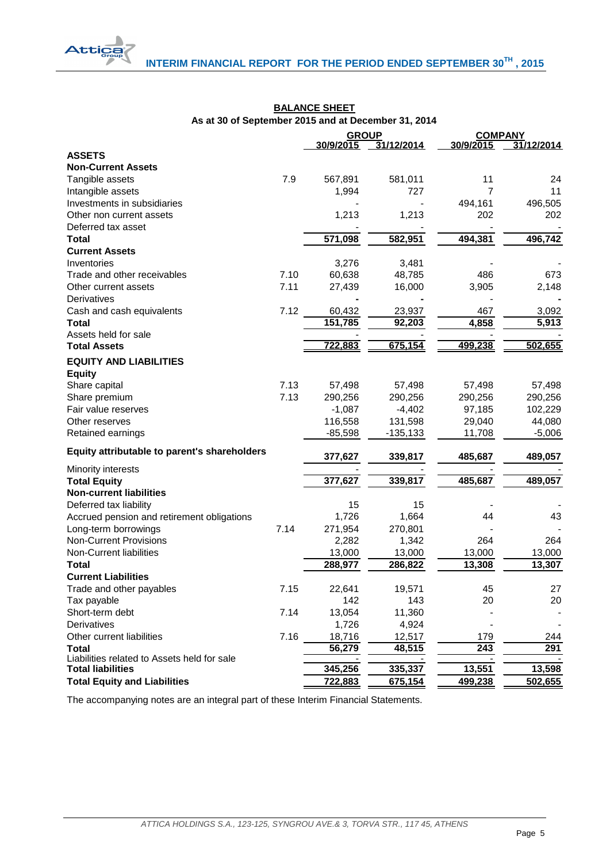|                                                             |      | <b>GROUP</b> |                   | <b>COMPANY</b> |                  |  |
|-------------------------------------------------------------|------|--------------|-------------------|----------------|------------------|--|
|                                                             |      | 30/9/2015    | 31/12/2014        | 30/9/2015      | 31/12/2014       |  |
| <b>ASSETS</b>                                               |      |              |                   |                |                  |  |
| <b>Non-Current Assets</b>                                   |      |              |                   |                |                  |  |
| Tangible assets                                             | 7.9  | 567,891      | 581,011           | 11             | 24               |  |
| Intangible assets                                           |      | 1,994        | 727               | 7              | 11               |  |
| Investments in subsidiaries                                 |      |              |                   | 494,161        | 496,505          |  |
| Other non current assets                                    |      | 1,213        | 1,213             | 202            | 202              |  |
| Deferred tax asset                                          |      |              |                   |                |                  |  |
| <b>Total</b>                                                |      | 571,098      | 582,951           | 494,381        | 496,742          |  |
| <b>Current Assets</b>                                       |      |              |                   |                |                  |  |
| Inventories                                                 |      | 3,276        | 3,481             |                |                  |  |
| Trade and other receivables                                 | 7.10 | 60,638       | 48,785            | 486            | 673              |  |
| Other current assets                                        | 7.11 | 27,439       | 16,000            | 3,905          | 2,148            |  |
| Derivatives                                                 |      |              |                   |                |                  |  |
| Cash and cash equivalents                                   | 7.12 | 60,432       | 23,937            | 467            | 3,092            |  |
| <b>Total</b>                                                |      | 151,785      | 92,203            | 4,858          | 5,913            |  |
| Assets held for sale                                        |      |              |                   |                |                  |  |
| <b>Total Assets</b>                                         |      | 722,883      | 675,154           | 499,238        | 502,655          |  |
| <b>EQUITY AND LIABILITIES</b>                               |      |              |                   |                |                  |  |
| <b>Equity</b>                                               |      |              |                   |                |                  |  |
| Share capital                                               | 7.13 | 57,498       | 57,498            | 57,498         | 57,498           |  |
| Share premium                                               | 7.13 | 290,256      | 290,256           | 290,256        | 290,256          |  |
| Fair value reserves                                         |      | $-1,087$     | $-4,402$          | 97,185         | 102,229          |  |
| Other reserves                                              |      | 116,558      | 131,598           | 29,040         | 44,080           |  |
| Retained earnings                                           |      | $-85,598$    | $-135,133$        | 11,708         | $-5,006$         |  |
|                                                             |      |              |                   |                |                  |  |
| Equity attributable to parent's shareholders                |      | 377,627      | 339,817           | 485,687        | 489,057          |  |
| Minority interests                                          |      |              |                   |                |                  |  |
| <b>Total Equity</b>                                         |      | 377,627      | 339,817           | 485,687        | 489,057          |  |
| <b>Non-current liabilities</b>                              |      |              |                   |                |                  |  |
| Deferred tax liability                                      |      | 15           | 15                |                |                  |  |
| Accrued pension and retirement obligations                  |      | 1,726        | 1,664             | 44             | 43               |  |
| Long-term borrowings                                        | 7.14 | 271,954      | 270,801           |                |                  |  |
| <b>Non-Current Provisions</b>                               |      | 2,282        | 1,342             | 264            | 264              |  |
| Non-Current liabilities                                     |      | 13,000       |                   | 13,000         |                  |  |
| <b>Total</b>                                                |      | 288,977      | 13,000<br>286,822 | 13,308         | 13,000<br>13,307 |  |
| <b>Current Liabilities</b>                                  |      |              |                   |                |                  |  |
|                                                             | 7.15 |              |                   | 45             | 27               |  |
| Trade and other payables                                    |      | 22,641       | 19,571            |                |                  |  |
| Tax payable                                                 | 7.14 | 142          | 143               | 20             | 20               |  |
| Short-term debt                                             |      | 13,054       | 11,360            |                |                  |  |
| Derivatives                                                 |      | 1,726        | 4,924             |                |                  |  |
| Other current liabilities                                   | 7.16 | 18,716       | 12,517            | 179            | 244              |  |
| <b>Total</b><br>Liabilities related to Assets held for sale |      | 56,279       | 48,515            | 243            | 291              |  |
| <b>Total liabilities</b>                                    |      | 345,256      | 335,337           | 13,551         | 13,598           |  |
| <b>Total Equity and Liabilities</b>                         |      | 722,883      | 675,154           | 499,238        | 502,655          |  |
|                                                             |      |              |                   |                |                  |  |

# **BALANCE SHEET As at 30 of September 2015 and at December 31, 2014**

**Attica** 

<span id="page-5-0"></span>The accompanying notes are an integral part of these Interim Financial Statements.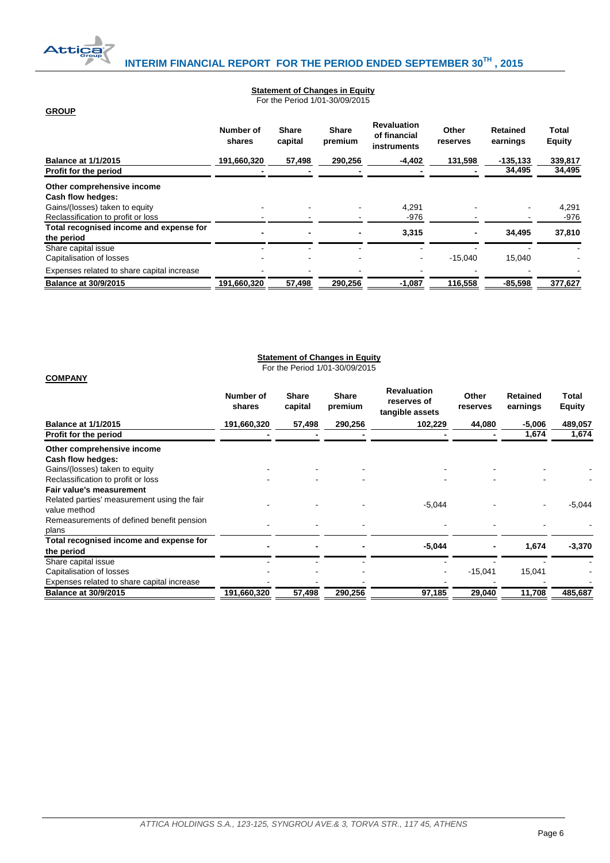

**GROUP**

**COMPANY**

# **Statement of Changes in Equity**

For the Period 1/01-30/09/2015

|                                            | Number of<br>shares | <b>Share</b><br>capital | <b>Share</b><br>premium | <b>Revaluation</b><br>of financial<br>instruments | Other<br>reserves | Retained<br>earnings | Total<br><b>Equity</b> |
|--------------------------------------------|---------------------|-------------------------|-------------------------|---------------------------------------------------|-------------------|----------------------|------------------------|
| <b>Balance at 1/1/2015</b>                 | 191,660,320         | 57,498                  | 290,256                 | $-4,402$                                          | 131,598           | $-135, 133$          | 339,817                |
| Profit for the period                      |                     |                         |                         |                                                   |                   | 34,495               | 34,495                 |
| Other comprehensive income                 |                     |                         |                         |                                                   |                   |                      |                        |
| Cash flow hedges:                          |                     |                         |                         |                                                   |                   |                      |                        |
| Gains/(losses) taken to equity             |                     |                         |                         | 4.291                                             |                   |                      | 4,291                  |
| Reclassification to profit or loss         |                     |                         |                         | $-976$                                            |                   |                      | $-976$                 |
| Total recognised income and expense for    |                     |                         |                         | 3.315                                             |                   | 34.495               | 37,810                 |
| the period                                 |                     |                         |                         |                                                   |                   |                      |                        |
| Share capital issue                        |                     |                         |                         |                                                   |                   |                      |                        |
| Capitalisation of losses                   |                     |                         |                         |                                                   | $-15.040$         | 15.040               |                        |
| Expenses related to share capital increase |                     |                         |                         |                                                   |                   |                      |                        |
| <b>Balance at 30/9/2015</b>                | 191,660,320         | 57,498                  | 290,256                 | $-1,087$                                          | 116,558           | $-85,598$            | 377,627                |

# **Statement of Changes in Equity**

For the Period 1/01-30/09/2015

<span id="page-6-1"></span><span id="page-6-0"></span>

|                                                             | Number of<br>shares | <b>Share</b><br>capital | <b>Share</b><br>premium | <b>Revaluation</b><br>reserves of<br>tangible assets | Other<br>reserves | Retained<br>earnings | Total<br><b>Equity</b> |
|-------------------------------------------------------------|---------------------|-------------------------|-------------------------|------------------------------------------------------|-------------------|----------------------|------------------------|
| <b>Balance at 1/1/2015</b>                                  | 191,660,320         | 57,498                  | 290,256                 | 102,229                                              | 44,080            | $-5,006$             | 489,057                |
| Profit for the period                                       |                     |                         |                         |                                                      |                   | 1,674                | 1,674                  |
| Other comprehensive income<br>Cash flow hedges:             |                     |                         |                         |                                                      |                   |                      |                        |
| Gains/(losses) taken to equity                              |                     |                         |                         |                                                      |                   |                      |                        |
| Reclassification to profit or loss                          |                     |                         |                         |                                                      |                   |                      |                        |
| Fair value's measurement                                    |                     |                         |                         |                                                      |                   |                      |                        |
| Related parties' measurement using the fair<br>value method |                     |                         |                         | $-5,044$                                             |                   |                      | $-5,044$               |
| Remeasurements of defined benefit pension<br>plans          |                     |                         |                         |                                                      |                   |                      |                        |
| Total recognised income and expense for<br>the period       |                     |                         |                         | $-5,044$                                             |                   | 1,674                | $-3,370$               |
| Share capital issue<br>Capitalisation of losses             |                     |                         |                         |                                                      | $-15,041$         | 15,041               |                        |
| Expenses related to share capital increase                  |                     |                         |                         |                                                      |                   |                      |                        |
| <b>Balance at 30/9/2015</b>                                 | 191,660,320         | 57,498                  | 290,256                 | 97,185                                               | 29,040            | 11,708               | 485,687                |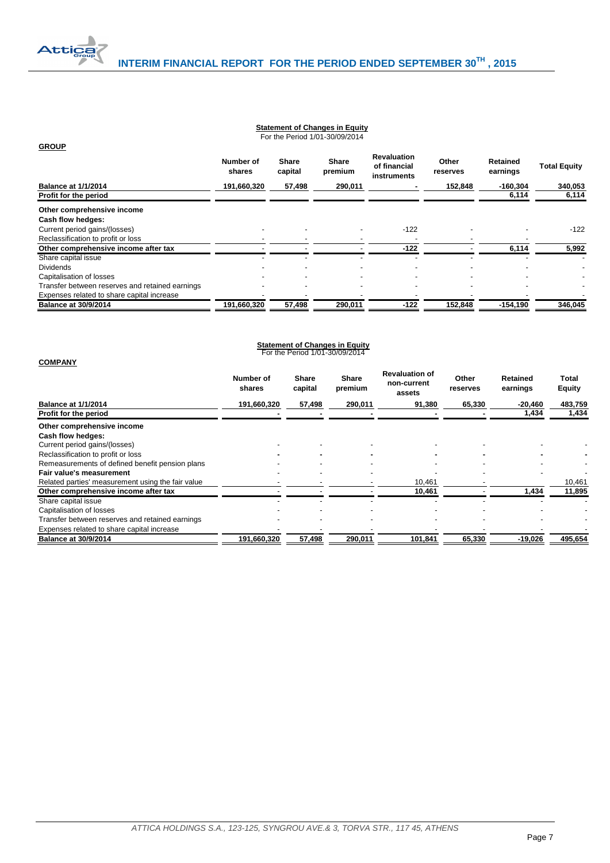

#### **Statement of Changes in Equity** For the Period 1/01-30/09/2014

| <b>GROUP</b>                                    |                     |                         |                         |                                                   |                   |                             |                     |
|-------------------------------------------------|---------------------|-------------------------|-------------------------|---------------------------------------------------|-------------------|-----------------------------|---------------------|
|                                                 | Number of<br>shares | <b>Share</b><br>capital | <b>Share</b><br>premium | <b>Revaluation</b><br>of financial<br>instruments | Other<br>reserves | <b>Retained</b><br>earnings | <b>Total Equity</b> |
| <b>Balance at 1/1/2014</b>                      | 191,660,320         | 57,498                  | 290,011                 |                                                   | 152,848           | $-160,304$                  | 340,053             |
| Profit for the period                           |                     |                         |                         |                                                   |                   | 6,114                       | 6,114               |
| Other comprehensive income                      |                     |                         |                         |                                                   |                   |                             |                     |
| Cash flow hedges:                               |                     |                         |                         |                                                   |                   |                             |                     |
| Current period gains/(losses)                   |                     |                         |                         | $-122$                                            |                   |                             | $-122$              |
| Reclassification to profit or loss              |                     |                         |                         |                                                   |                   |                             |                     |
| Other comprehensive income after tax            |                     |                         |                         | $-122$                                            |                   | 6,114                       | 5,992               |
| Share capital issue                             |                     |                         |                         |                                                   |                   |                             |                     |
| <b>Dividends</b>                                |                     |                         |                         |                                                   |                   |                             |                     |
| Capitalisation of losses                        |                     |                         |                         |                                                   |                   |                             |                     |
| Transfer between reserves and retained earnings |                     |                         |                         |                                                   |                   |                             |                     |
| Expenses related to share capital increase      |                     |                         |                         |                                                   |                   |                             |                     |
| <b>Balance at 30/9/2014</b>                     | 191,660,320         | 57,498                  | 290,011                 | $-122$                                            | 152,848           | $-154,190$                  | 346,045             |

<span id="page-7-1"></span><span id="page-7-0"></span>

| <b>Statement of Changes in Equity</b><br>For the Period 1/01-30/09/2014                                                                                                   |                     |                  |                         |                                                |                   |                      |                 |  |
|---------------------------------------------------------------------------------------------------------------------------------------------------------------------------|---------------------|------------------|-------------------------|------------------------------------------------|-------------------|----------------------|-----------------|--|
| <b>COMPANY</b>                                                                                                                                                            | Number of<br>shares | Share<br>capital | <b>Share</b><br>premium | <b>Revaluation of</b><br>non-current<br>assets | Other<br>reserves | Retained<br>earnings | Total<br>Equity |  |
| <b>Balance at 1/1/2014</b>                                                                                                                                                | 191,660,320         | 57,498           | 290,011                 | 91,380                                         | 65,330            | $-20,460$            | 483,759         |  |
| Profit for the period                                                                                                                                                     |                     |                  |                         |                                                |                   | 1,434                | 1,434           |  |
| Other comprehensive income<br>Cash flow hedges:<br>Current period gains/(losses)<br>Reclassification to profit or loss<br>Remeasurements of defined benefit pension plans |                     |                  |                         |                                                |                   |                      |                 |  |
| Fair value's measurement                                                                                                                                                  |                     |                  |                         |                                                |                   |                      |                 |  |
| Related parties' measurement using the fair value                                                                                                                         |                     |                  |                         | 10,461                                         |                   |                      | 10,461          |  |
| Other comprehensive income after tax                                                                                                                                      |                     |                  |                         | 10,461                                         |                   | 1,434                | 11,895          |  |
| Share capital issue<br>Capitalisation of losses                                                                                                                           |                     |                  |                         |                                                |                   |                      |                 |  |
| Transfer between reserves and retained earnings<br>Expenses related to share capital increase                                                                             |                     |                  |                         |                                                |                   |                      |                 |  |
| <b>Balance at 30/9/2014</b>                                                                                                                                               | 191,660,320         | 57,498           | 290,011                 | 101,841                                        | 65,330            | $-19,026$            | 495,654         |  |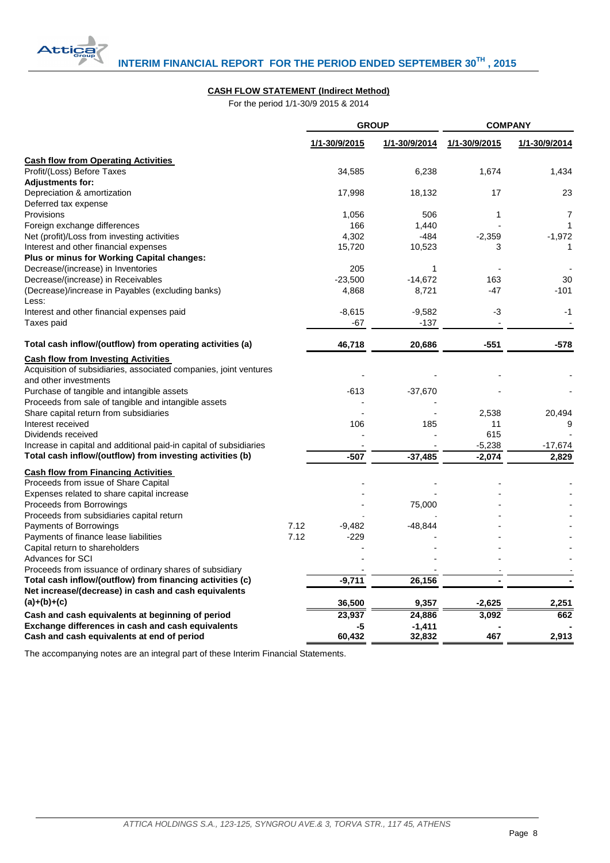

# **CASH FLOW STATEMENT (Indirect Method)**

For the period 1/1-30/9 2015 & 2014

|                                                                                                                      |              |                    | <b>GROUP</b>  | <b>COMPANY</b> |               |  |
|----------------------------------------------------------------------------------------------------------------------|--------------|--------------------|---------------|----------------|---------------|--|
|                                                                                                                      |              | 1/1-30/9/2015      | 1/1-30/9/2014 | 1/1-30/9/2015  | 1/1-30/9/2014 |  |
| <b>Cash flow from Operating Activities</b>                                                                           |              |                    |               |                |               |  |
| Profit/(Loss) Before Taxes                                                                                           |              | 34,585             | 6,238         | 1,674          | 1,434         |  |
| <b>Adjustments for:</b>                                                                                              |              |                    |               |                |               |  |
| Depreciation & amortization                                                                                          |              | 17,998             | 18,132        | 17             | 23            |  |
| Deferred tax expense                                                                                                 |              |                    |               |                |               |  |
| Provisions                                                                                                           |              | 1,056              | 506           | 1              | 7             |  |
| Foreign exchange differences                                                                                         |              | 166                | 1,440         |                | 1             |  |
| Net (profit)/Loss from investing activities                                                                          |              | 4,302              | -484          | $-2,359$       | $-1,972$      |  |
| Interest and other financial expenses                                                                                |              | 15,720             | 10,523        | 3              | 1             |  |
| Plus or minus for Working Capital changes:                                                                           |              |                    |               |                |               |  |
| Decrease/(increase) in Inventories                                                                                   |              | 205                | $\mathbf{1}$  |                |               |  |
| Decrease/(increase) in Receivables                                                                                   |              | $-23,500$          | $-14,672$     | 163            | 30            |  |
| (Decrease)/increase in Payables (excluding banks)                                                                    |              | 4,868              | 8,721         | -47            | $-101$        |  |
| Less:                                                                                                                |              |                    |               |                |               |  |
| Interest and other financial expenses paid                                                                           |              | $-8,615$           | $-9,582$      | -3             | -1            |  |
| Taxes paid                                                                                                           |              | $-67$              | $-137$        |                |               |  |
| Total cash inflow/(outflow) from operating activities (a)                                                            |              | 46,718             | 20,686        | $-551$         | -578          |  |
| <b>Cash flow from Investing Activities</b>                                                                           |              |                    |               |                |               |  |
| Acquisition of subsidiaries, associated companies, joint ventures                                                    |              |                    |               |                |               |  |
| and other investments                                                                                                |              |                    |               |                |               |  |
| Purchase of tangible and intangible assets                                                                           |              | $-613$             | $-37,670$     |                |               |  |
| Proceeds from sale of tangible and intangible assets                                                                 |              |                    |               |                |               |  |
| Share capital return from subsidiaries                                                                               |              |                    |               | 2,538          | 20,494        |  |
| Interest received                                                                                                    |              | 106                | 185           | 11             | 9             |  |
| Dividends received                                                                                                   |              |                    |               | 615            |               |  |
| Increase in capital and additional paid-in capital of subsidiaries                                                   |              |                    |               | $-5,238$       | $-17,674$     |  |
| Total cash inflow/(outflow) from investing activities (b)                                                            |              | $-507$             | $-37,485$     | $-2,074$       | 2,829         |  |
| <b>Cash flow from Financing Activities</b>                                                                           |              |                    |               |                |               |  |
| Proceeds from issue of Share Capital                                                                                 |              |                    |               |                |               |  |
| Expenses related to share capital increase                                                                           |              |                    |               |                |               |  |
| Proceeds from Borrowings                                                                                             |              |                    | 75,000        |                |               |  |
| Proceeds from subsidiaries capital return                                                                            |              |                    |               |                |               |  |
| Payments of Borrowings                                                                                               | 7.12<br>7.12 | $-9,482$<br>$-229$ | -48,844       |                |               |  |
| Payments of finance lease liabilities                                                                                |              |                    |               |                |               |  |
| Capital return to shareholders<br><b>Advances for SCI</b>                                                            |              |                    |               |                |               |  |
|                                                                                                                      |              |                    |               |                |               |  |
| Proceeds from issuance of ordinary shares of subsidiary<br>Total cash inflow/(outflow) from financing activities (c) |              | $-9,711$           | 26,156        |                |               |  |
| Net increase/(decrease) in cash and cash equivalents                                                                 |              |                    |               |                |               |  |
| $(a)+(b)+(c)$                                                                                                        |              |                    |               |                |               |  |
|                                                                                                                      |              | 36,500             | 9,357         | $-2,625$       | 2,251         |  |
| Cash and cash equivalents at beginning of period                                                                     |              | 23,937             | 24,886        | 3,092          | 662           |  |
| Exchange differences in cash and cash equivalents                                                                    |              | -5                 | $-1,411$      |                |               |  |
| Cash and cash equivalents at end of period                                                                           |              | 60,432             | 32,832        | 467            | 2,913         |  |

<span id="page-8-0"></span>The accompanying notes are an integral part of these Interim Financial Statements.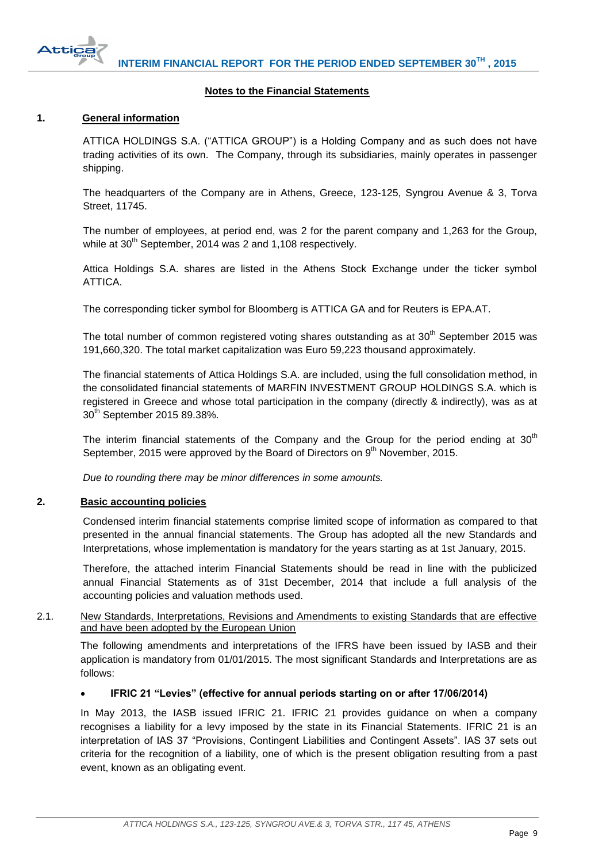

# **Notes to the Financial Statements**

# <span id="page-9-1"></span><span id="page-9-0"></span>**1. General information**

ATTICA HOLDINGS S.A. ("ATTICA GROUP") is a Holding Company and as such does not have trading activities of its own. The Company, through its subsidiaries, mainly operates in passenger shipping.

The headquarters of the Company are in Athens, Greece, 123-125, Syngrou Avenue & 3, Torva Street, 11745.

The number of employees, at period end, was 2 for the parent company and 1,263 for the Group, while at  $30<sup>th</sup>$  September, 2014 was 2 and 1,108 respectively.

Attica Holdings S.A. shares are listed in the Athens Stock Exchange under the ticker symbol ATTICA.

The corresponding ticker symbol for Bloomberg is ATTICA GA and for Reuters is EPA.AT.

The total number of common registered voting shares outstanding as at  $30<sup>th</sup>$  September 2015 was 191,660,320. The total market capitalization was Euro 59,223 thousand approximately.

The financial statements of Attica Holdings S.A. are included, using the full consolidation method, in the consolidated financial statements of MARFIN INVESTMENT GROUP HOLDINGS S.A. which is registered in Greece and whose total participation in the company (directly & indirectly), was as at 30<sup>th</sup> September 2015 89.38%.

The interim financial statements of the Company and the Group for the period ending at  $30<sup>th</sup>$ September, 2015 were approved by the Board of Directors on 9<sup>th</sup> November, 2015.

*Due to rounding there may be minor differences in some amounts.*

# <span id="page-9-2"></span>**2. Basic accounting policies**

Condensed interim financial statements comprise limited scope of information as compared to that presented in the annual financial statements. The Group has adopted all the new Standards and Interpretations, whose implementation is mandatory for the years starting as at 1st January, 2015.

Therefore, the attached interim Financial Statements should be read in line with the publicized annual Financial Statements as of 31st December, 2014 that include a full analysis of the accounting policies and valuation methods used.

<span id="page-9-3"></span>2.1. New Standards, Interpretations, Revisions and Amendments to existing Standards that are effective and have been adopted by the European Union

The following amendments and interpretations of the IFRS have been issued by IASB and their application is mandatory from 01/01/2015. The most significant Standards and Interpretations are as follows:

# **IFRIC 21 "Levies" (effective for annual periods starting on or after 17/06/2014)**

In May 2013, the IASB issued IFRIC 21. IFRIC 21 provides guidance on when a company recognises a liability for a levy imposed by the state in its Financial Statements. IFRIC 21 is an interpretation of IAS 37 "Provisions, Contingent Liabilities and Contingent Assets". IAS 37 sets out criteria for the recognition of a liability, one of which is the present obligation resulting from a past event, known as an obligating event.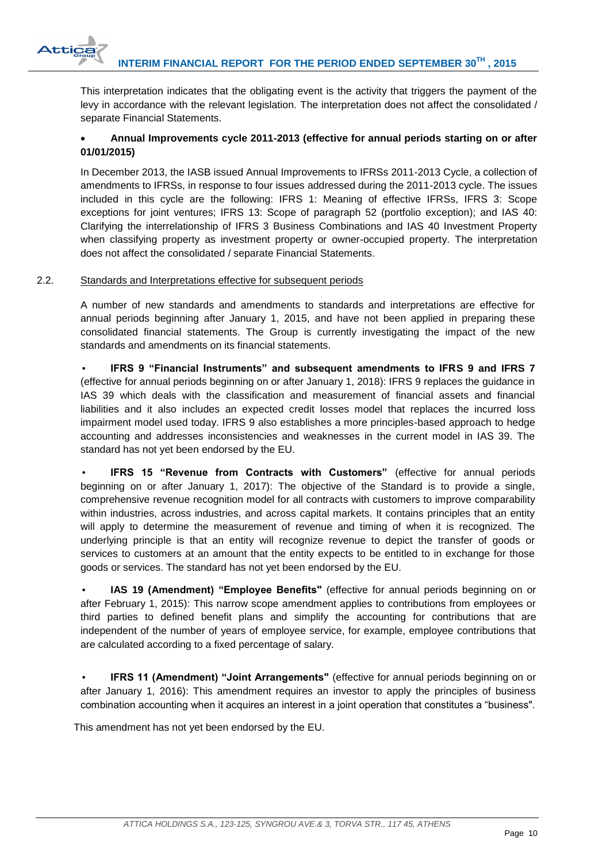

This interpretation indicates that the obligating event is the activity that triggers the payment of the levy in accordance with the relevant legislation. The interpretation does not affect the consolidated / separate Financial Statements.

# **Annual Improvements cycle 2011-2013 (effective for annual periods starting on or after 01/01/2015)**

In December 2013, the IASB issued Annual Improvements to IFRSs 2011-2013 Cycle, a collection of amendments to IFRSs, in response to four issues addressed during the 2011-2013 cycle. The issues included in this cycle are the following: IFRS 1: Meaning of effective IFRSs, IFRS 3: Scope exceptions for joint ventures; IFRS 13: Scope of paragraph 52 (portfolio exception); and IAS 40: Clarifying the interrelationship of IFRS 3 Business Combinations and IAS 40 Investment Property when classifying property as investment property or owner-occupied property. The interpretation does not affect the consolidated / separate Financial Statements.

# <span id="page-10-0"></span>2.2. Standards and Interpretations effective for subsequent periods

A number of new standards and amendments to standards and interpretations are effective for annual periods beginning after January 1, 2015, and have not been applied in preparing these consolidated financial statements. The Group is currently investigating the impact of the new standards and amendments on its financial statements.

• **IFRS 9 "Financial Instruments" and subsequent amendments to IFRS 9 and IFRS 7** (effective for annual periods beginning on or after January 1, 2018): IFRS 9 replaces the guidance in IAS 39 which deals with the classification and measurement of financial assets and financial liabilities and it also includes an expected credit losses model that replaces the incurred loss impairment model used today. IFRS 9 also establishes a more principles-based approach to hedge accounting and addresses inconsistencies and weaknesses in the current model in IAS 39. The standard has not yet been endorsed by the EU.

• **IFRS 15 "Revenue from Contracts with Customers"** (effective for annual periods beginning on or after January 1, 2017): The objective of the Standard is to provide a single, comprehensive revenue recognition model for all contracts with customers to improve comparability within industries, across industries, and across capital markets. It contains principles that an entity will apply to determine the measurement of revenue and timing of when it is recognized. The underlying principle is that an entity will recognize revenue to depict the transfer of goods or services to customers at an amount that the entity expects to be entitled to in exchange for those goods or services. The standard has not yet been endorsed by the EU.

• **IAS 19 (Amendment) "Employee Benefits"** (effective for annual periods beginning on or after February 1, 2015): This narrow scope amendment applies to contributions from employees or third parties to defined benefit plans and simplify the accounting for contributions that are independent of the number of years of employee service, for example, employee contributions that are calculated according to a fixed percentage of salary.

• **IFRS 11 (Amendment) "Joint Arrangements"** (effective for annual periods beginning on or after January 1, 2016): This amendment requires an investor to apply the principles of business combination accounting when it acquires an interest in a joint operation that constitutes a "business".

This amendment has not yet been endorsed by the EU.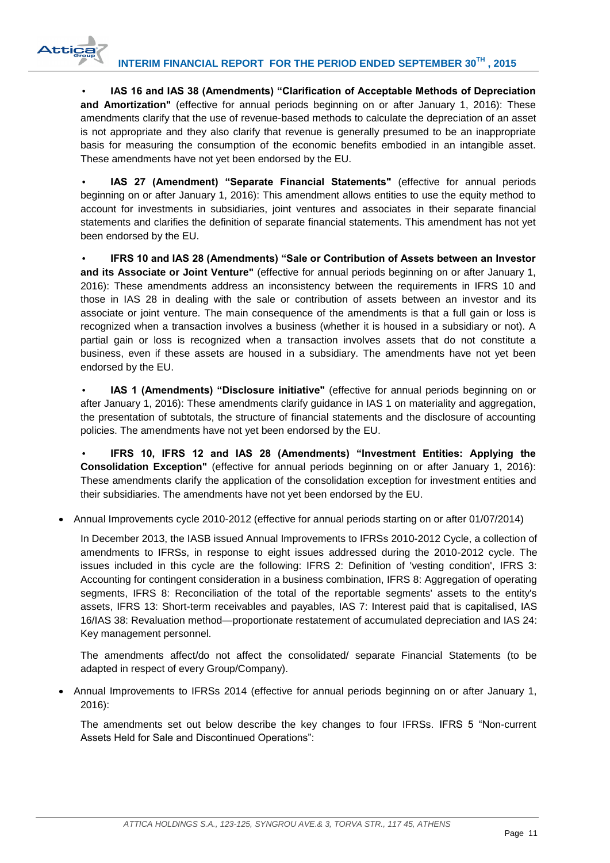**Attic:** 

• **IAS 16 and IAS 38 (Amendments) "Clarification of Acceptable Methods of Depreciation**  and Amortization" (effective for annual periods beginning on or after January 1, 2016): These amendments clarify that the use of revenue-based methods to calculate the depreciation of an asset is not appropriate and they also clarify that revenue is generally presumed to be an inappropriate basis for measuring the consumption of the economic benefits embodied in an intangible asset. These amendments have not yet been endorsed by the EU.

• **IAS 27 (Amendment) "Separate Financial Statements"** (effective for annual periods beginning on or after January 1, 2016): This amendment allows entities to use the equity method to account for investments in subsidiaries, joint ventures and associates in their separate financial statements and clarifies the definition of separate financial statements. This amendment has not yet been endorsed by the EU.

• **IFRS 10 and IAS 28 (Amendments) "Sale or Contribution of Assets between an Investor and its Associate or Joint Venture"** (effective for annual periods beginning on or after January 1, 2016): These amendments address an inconsistency between the requirements in IFRS 10 and those in IAS 28 in dealing with the sale or contribution of assets between an investor and its associate or joint venture. The main consequence of the amendments is that a full gain or loss is recognized when a transaction involves a business (whether it is housed in a subsidiary or not). A partial gain or loss is recognized when a transaction involves assets that do not constitute a business, even if these assets are housed in a subsidiary. The amendments have not yet been endorsed by the EU.

• **IAS 1 (Amendments) "Disclosure initiative"** (effective for annual periods beginning on or after January 1, 2016): These amendments clarify guidance in IAS 1 on materiality and aggregation, the presentation of subtotals, the structure of financial statements and the disclosure of accounting policies. The amendments have not yet been endorsed by the EU.

• **IFRS 10, IFRS 12 and IAS 28 (Amendments) "Investment Entities: Applying the Consolidation Exception"** (effective for annual periods beginning on or after January 1, 2016): These amendments clarify the application of the consolidation exception for investment entities and their subsidiaries. The amendments have not yet been endorsed by the EU.

Annual Improvements cycle 2010-2012 (effective for annual periods starting on or after 01/07/2014)

In December 2013, the IASB issued Annual Improvements to IFRSs 2010-2012 Cycle, a collection of amendments to IFRSs, in response to eight issues addressed during the 2010-2012 cycle. The issues included in this cycle are the following: IFRS 2: Definition of 'vesting condition', IFRS 3: Accounting for contingent consideration in a business combination, IFRS 8: Aggregation of operating segments, IFRS 8: Reconciliation of the total of the reportable segments' assets to the entity's assets, IFRS 13: Short-term receivables and payables, IAS 7: Interest paid that is capitalised, IAS 16/IAS 38: Revaluation method—proportionate restatement of accumulated depreciation and IAS 24: Key management personnel.

The amendments affect/do not affect the consolidated/ separate Financial Statements (to be adapted in respect of every Group/Company).

 Annual Improvements to IFRSs 2014 (effective for annual periods beginning on or after January 1, 2016):

The amendments set out below describe the key changes to four IFRSs. IFRS 5 "Non-current Assets Held for Sale and Discontinued Operations":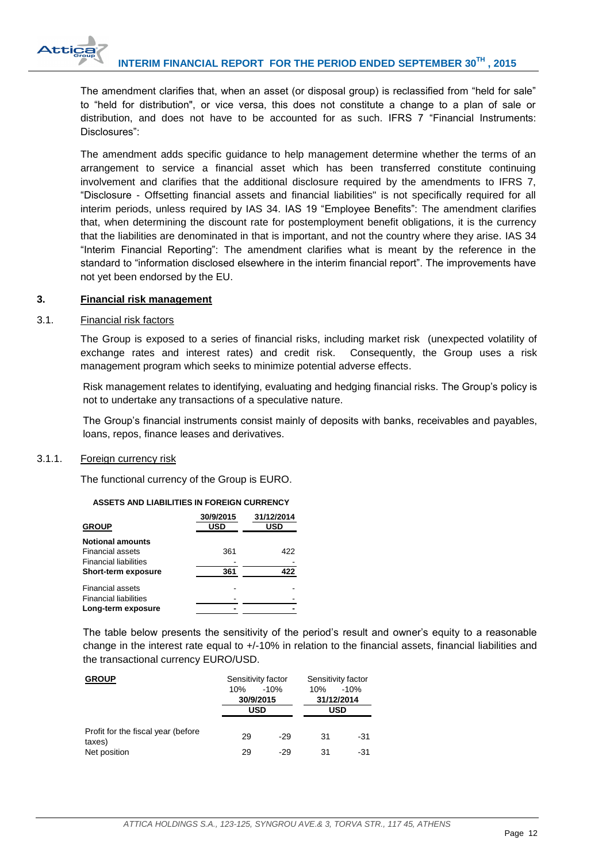

The amendment clarifies that, when an asset (or disposal group) is reclassified from "held for sale" to "held for distribution", or vice versa, this does not constitute a change to a plan of sale or distribution, and does not have to be accounted for as such. IFRS 7 "Financial Instruments: Disclosures":

The amendment adds specific guidance to help management determine whether the terms of an arrangement to service a financial asset which has been transferred constitute continuing involvement and clarifies that the additional disclosure required by the amendments to IFRS 7, ―Disclosure - Offsetting financial assets and financial liabilities" is not specifically required for all interim periods, unless required by IAS 34. IAS 19 "Employee Benefits": The amendment clarifies that, when determining the discount rate for postemployment benefit obligations, it is the currency that the liabilities are denominated in that is important, and not the country where they arise. IAS 34 "Interim Financial Reporting": The amendment clarifies what is meant by the reference in the standard to "information disclosed elsewhere in the interim financial report". The improvements have not yet been endorsed by the EU.

# <span id="page-12-0"></span>**3. Financial risk management**

# <span id="page-12-1"></span>3.1. Financial risk factors

The Group is exposed to a series of financial risks, including market risk (unexpected volatility of exchange rates and interest rates) and credit risk. Consequently, the Group uses a risk management program which seeks to minimize potential adverse effects.

Risk management relates to identifying, evaluating and hedging financial risks. The Group's policy is not to undertake any transactions of a speculative nature.

The Group's financial instruments consist mainly of deposits with banks, receivables and payables, loans, repos, finance leases and derivatives.

# <span id="page-12-2"></span>3.1.1. Foreign currency risk

The functional currency of the Group is EURO.

# **ASSETS AND LIABILITIES IN FOREIGN CURRENCY**

|                              | 30/9/2015  | 31/12/2014 |
|------------------------------|------------|------------|
| <b>GROUP</b>                 | <b>USD</b> | USD        |
| <b>Notional amounts</b>      |            |            |
| <b>Financial assets</b>      | 361        | 422        |
| <b>Financial liabilities</b> |            |            |
| Short-term exposure          | 361        | 422        |
| <b>Financial assets</b>      |            |            |
| <b>Financial liabilities</b> |            |            |
| Long-term exposure           |            |            |

The table below presents the sensitivity of the period's result and owner's equity to a reasonable change in the interest rate equal to  $+/-10\%$  in relation to the financial assets, financial liabilities and the transactional currency EURO/USD.

| <b>GROUP</b>                                  | Sensitivity factor |        | Sensitivity factor |        |  |
|-----------------------------------------------|--------------------|--------|--------------------|--------|--|
|                                               | 10%                | $-10%$ | 10%                | $-10%$ |  |
|                                               | 30/9/2015          |        | 31/12/2014         |        |  |
|                                               | USD                |        | USD                |        |  |
|                                               |                    |        |                    |        |  |
| Profit for the fiscal year (before)<br>taxes) | 29                 | $-29$  | 31                 | -31    |  |
| Net position                                  | 29                 | $-29$  | 31                 | -31    |  |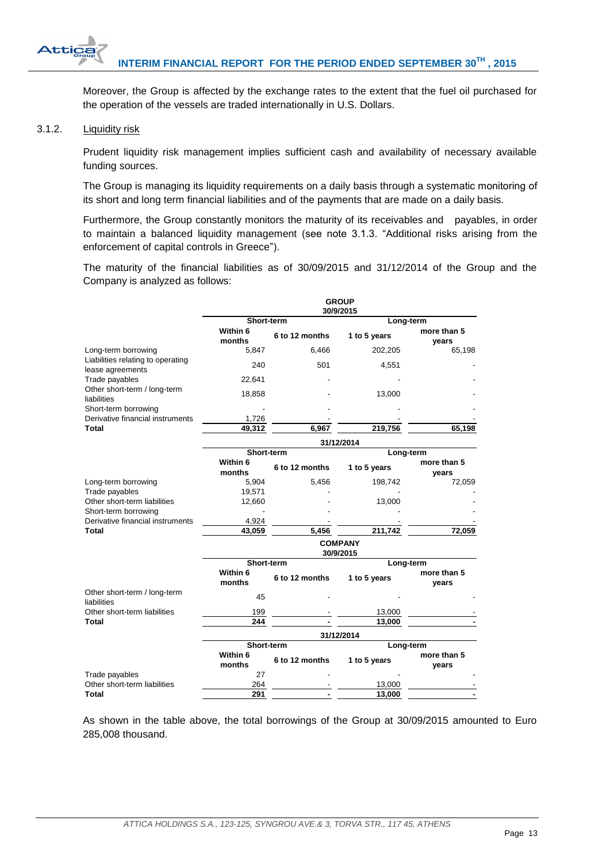Moreover, the Group is affected by the exchange rates to the extent that the fuel oil purchased for the operation of the vessels are traded internationally in U.S. Dollars.

# <span id="page-13-0"></span>3.1.2. Liquidity risk

Attic

Prudent liquidity risk management implies sufficient cash and availability of necessary available funding sources.

The Group is managing its liquidity requirements on a daily basis through a systematic monitoring of its short and long term financial liabilities and of the payments that are made on a daily basis.

Furthermore, the Group constantly monitors the maturity of its receivables and payables, in order to maintain a balanced liquidity management (see note 3.1.3. "Additional risks arising from the enforcement of capital controls in Greece").

The maturity of the financial liabilities as of 30/09/2015 and 31/12/2014 of the Group and the Company is analyzed as follows:

|                                                       |                             |                | <b>GROUP</b><br>30/9/2015 |                      |  |  |
|-------------------------------------------------------|-----------------------------|----------------|---------------------------|----------------------|--|--|
|                                                       | Short-term                  |                | Long-term                 |                      |  |  |
|                                                       | Within 6<br>months          | 6 to 12 months | 1 to 5 years              | more than 5<br>vears |  |  |
| Long-term borrowing                                   | 5,847                       | 6,466          | 202,205                   | 65,198               |  |  |
| Liabilities relating to operating<br>lease agreements | 240                         | 501            | 4,551                     |                      |  |  |
| Trade payables                                        | 22,641                      |                |                           |                      |  |  |
| Other short-term / long-term<br>liabilities           | 18,858                      |                | 13,000                    |                      |  |  |
| Short-term borrowing                                  |                             |                |                           |                      |  |  |
| Derivative financial instruments                      | 1,726                       |                |                           |                      |  |  |
| Total                                                 | 49,312                      | 6,967          | 219,756                   | 65,198               |  |  |
|                                                       | 31/12/2014                  |                |                           |                      |  |  |
|                                                       | Short-term                  |                | Long-term                 |                      |  |  |
|                                                       | Within 6<br>months          | 6 to 12 months | 1 to 5 years              | more than 5<br>vears |  |  |
| Long-term borrowing                                   | 5,904                       | 5,456          | 198,742                   | 72,059               |  |  |
| Trade payables                                        | 19,571                      |                |                           |                      |  |  |
| Other short-term liabilities                          | 12,660                      |                | 13,000                    |                      |  |  |
| Short-term borrowing                                  |                             |                |                           |                      |  |  |
| Derivative financial instruments                      | 4,924                       |                |                           |                      |  |  |
| <b>Total</b>                                          | 43,059                      | 5,456          | 211,742                   | 72,059               |  |  |
|                                                       | <b>COMPANY</b><br>30/9/2015 |                |                           |                      |  |  |
|                                                       | Short-term                  |                | Long-term                 |                      |  |  |
|                                                       | Within 6<br>months          | 6 to 12 months | 1 to 5 years              | more than 5<br>vears |  |  |
| Other short-term / long-term<br>liabilities           | 45                          |                |                           |                      |  |  |
| Other short-term liabilities                          | 199                         |                | 13,000                    |                      |  |  |
| <b>Total</b>                                          | 244                         |                | 13,000                    |                      |  |  |
|                                                       |                             |                | 31/12/2014                |                      |  |  |
|                                                       | Short-term                  |                | Long-term                 |                      |  |  |
|                                                       | Within 6<br>months          | 6 to 12 months | 1 to 5 years              | more than 5<br>vears |  |  |
| Trade payables                                        | 27                          |                |                           |                      |  |  |
| Other short-term liabilities                          | 264                         |                | 13,000                    |                      |  |  |
| <b>Total</b>                                          | 291                         |                | 13,000                    |                      |  |  |

As shown in the table above, the total borrowings of the Group at 30/09/2015 amounted to Euro 285,008 thousand.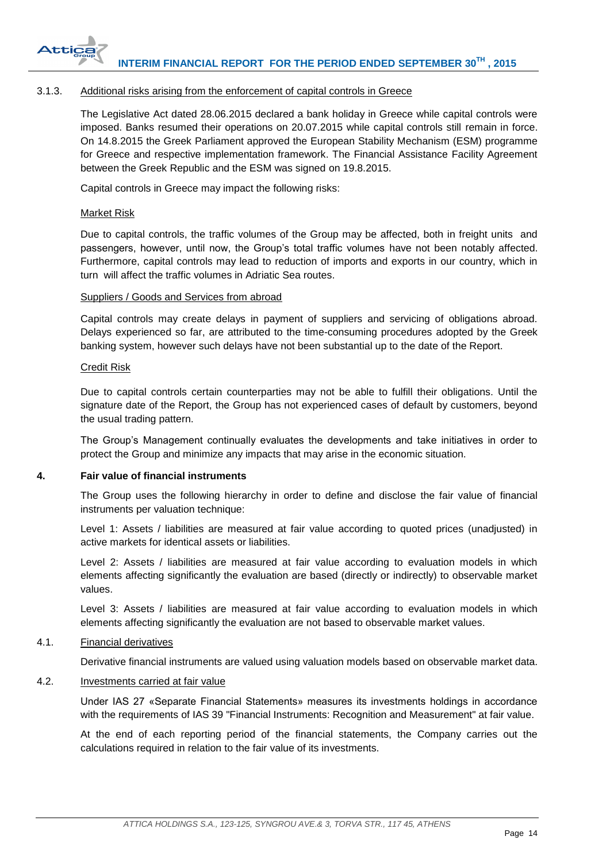

# <span id="page-14-0"></span>3.1.3. Additional risks arising from the enforcement of capital controls in Greece

The Legislative Act dated 28.06.2015 declared a bank holiday in Greece while capital controls were imposed. Banks resumed their operations on 20.07.2015 while capital controls still remain in force. On 14.8.2015 the Greek Parliament approved the European Stability Mechanism (ESM) programme for Greece and respective implementation framework. The Financial Assistance Facility Agreement between the Greek Republic and the ESM was signed on 19.8.2015.

Capital controls in Greece may impact the following risks:

# Market Risk

Due to capital controls, the traffic volumes of the Group may be affected, both in freight units and passengers, however, until now, the Group's total traffic volumes have not been notably affected. Furthermore, capital controls may lead to reduction of imports and exports in our country, which in turn will affect the traffic volumes in Adriatic Sea routes.

# Suppliers / Goods and Services from abroad

Capital controls may create delays in payment of suppliers and servicing of obligations abroad. Delays experienced so far, are attributed to the time-consuming procedures adopted by the Greek banking system, however such delays have not been substantial up to the date of the Report.

# Credit Risk

Due to capital controls certain counterparties may not be able to fulfill their obligations. Until the signature date of the Report, the Group has not experienced cases of default by customers, beyond the usual trading pattern.

The Group's Management continually evaluates the developments and take initiatives in order to protect the Group and minimize any impacts that may arise in the economic situation.

# <span id="page-14-1"></span>**4. Fair value of financial instruments**

The Group uses the following hierarchy in order to define and disclose the fair value of financial instruments per valuation technique:

Level 1: Assets / liabilities are measured at fair value according to quoted prices (unadjusted) in active markets for identical assets or liabilities.

Level 2: Assets / liabilities are measured at fair value according to evaluation models in which elements affecting significantly the evaluation are based (directly or indirectly) to observable market values.

Level 3: Assets / liabilities are measured at fair value according to evaluation models in which elements affecting significantly the evaluation are not based to observable market values.

# <span id="page-14-2"></span>4.1. Financial derivatives

Derivative financial instruments are valued using valuation models based on observable market data.

# <span id="page-14-3"></span>4.2. Investments carried at fair value

Under IAS 27 «Separate Financial Statements» measures its investments holdings in accordance with the requirements of IAS 39 "Financial Instruments: Recognition and Measurement" at fair value.

At the end of each reporting period of the financial statements, the Company carries out the calculations required in relation to the fair value of its investments.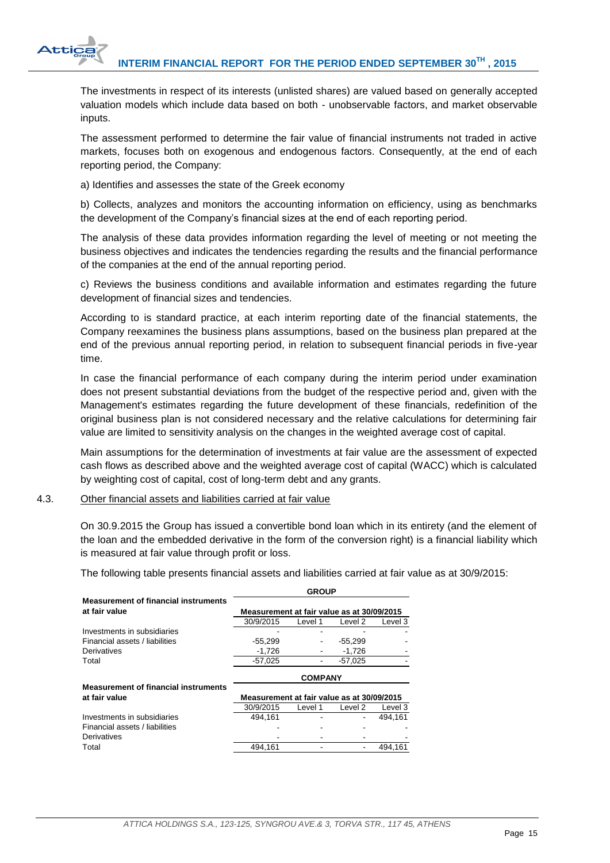

The investments in respect of its interests (unlisted shares) are valued based on generally accepted valuation models which include data based on both - unobservable factors, and market observable inputs.

The assessment performed to determine the fair value of financial instruments not traded in active markets, focuses both on exogenous and endogenous factors. Consequently, at the end of each reporting period, the Company:

a) Identifies and assesses the state of the Greek economy

b) Collects, analyzes and monitors the accounting information on efficiency, using as benchmarks the development of the Company's financial sizes at the end of each reporting period.

The analysis of these data provides information regarding the level of meeting or not meeting the business objectives and indicates the tendencies regarding the results and the financial performance of the companies at the end of the annual reporting period.

c) Reviews the business conditions and available information and estimates regarding the future development of financial sizes and tendencies.

According to is standard practice, at each interim reporting date of the financial statements, the Company reexamines the business plans assumptions, based on the business plan prepared at the end of the previous annual reporting period, in relation to subsequent financial periods in five-year time.

In case the financial performance of each company during the interim period under examination does not present substantial deviations from the budget of the respective period and, given with the Management's estimates regarding the future development of these financials, redefinition of the original business plan is not considered necessary and the relative calculations for determining fair value are limited to sensitivity analysis on the changes in the weighted average cost of capital.

Main assumptions for the determination of investments at fair value are the assessment of expected cash flows as described above and the weighted average cost of capital (WACC) which is calculated by weighting cost of capital, cost of long-term debt and any grants.

# <span id="page-15-0"></span>4.3. Other financial assets and liabilities carried at fair value

On 30.9.2015 the Group has issued a convertible bond loan which in its entirety (and the element of the loan and the embedded derivative in the form of the conversion right) is a financial liability which is measured at fair value through profit or loss.

The following table presents financial assets and liabilities carried at fair value as at 30/9/2015:

|                                             | <b>GROUP</b>                               |         |           |         |  |
|---------------------------------------------|--------------------------------------------|---------|-----------|---------|--|
| <b>Measurement of financial instruments</b> |                                            |         |           |         |  |
| at fair value                               | Measurement at fair value as at 30/09/2015 |         |           |         |  |
|                                             | 30/9/2015                                  | Level 1 | Level 2   | Level 3 |  |
| Investments in subsidiaries                 |                                            |         |           |         |  |
| Financial assets / liabilities              | $-55,299$                                  |         | $-55,299$ |         |  |
| Derivatives                                 | $-1.726$                                   |         | $-1.726$  |         |  |
| Total                                       | $-57,025$                                  |         | $-57.025$ |         |  |
|                                             | <b>COMPANY</b>                             |         |           |         |  |
|                                             |                                            |         |           |         |  |
| <b>Measurement of financial instruments</b> |                                            |         |           |         |  |
| at fair value                               | Measurement at fair value as at 30/09/2015 |         |           |         |  |
|                                             | 30/9/2015                                  | Level 1 | Level 2   | Level 3 |  |
| Investments in subsidiaries                 | 494.161                                    |         |           | 494.161 |  |
| Financial assets / liabilities              |                                            |         |           |         |  |
| Derivatives                                 |                                            |         |           |         |  |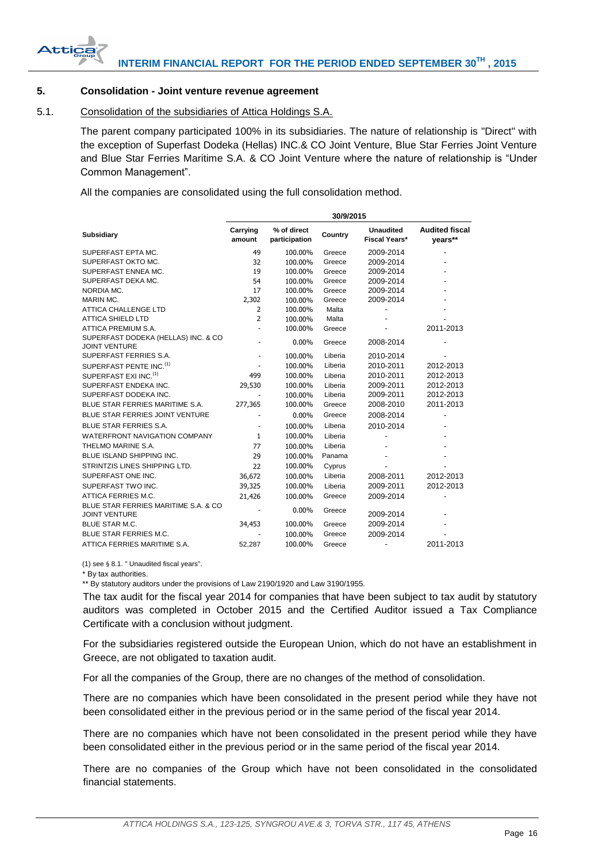

# <span id="page-16-0"></span>**5. Consolidation - Joint venture revenue agreement**

# <span id="page-16-1"></span>5.1. Consolidation of the subsidiaries of Attica Holdings S.A.

The parent company participated 100% in its subsidiaries. The nature of relationship is "Direct" with the exception of Superfast Dodeka (Hellas) INC.& CO Joint Venture, Blue Star Ferries Joint Venture and Blue Star Ferries Maritime S.A. & CO Joint Venture where the nature of relationship is "Under Common Management".

All the companies are consolidated using the full consolidation method.

|                                                              | 30/9/2015          |                              |         |                            |                                  |  |
|--------------------------------------------------------------|--------------------|------------------------------|---------|----------------------------|----------------------------------|--|
| <b>Subsidiary</b>                                            | Carrying<br>amount | % of direct<br>participation | Country | Unaudited<br>Fiscal Years* | <b>Audited fiscal</b><br>years** |  |
| SUPERFAST EPTA MC.                                           | 49                 | 100.00%                      | Greece  | 2009-2014                  |                                  |  |
| SUPERFAST OKTO MC.                                           | 32                 | 100.00%                      | Greece  | 2009-2014                  |                                  |  |
| SUPERFAST ENNEA MC.                                          | 19                 | 100.00%                      | Greece  | 2009-2014                  |                                  |  |
| SUPERFAST DEKA MC.                                           | 54                 | 100.00%                      | Greece  | 2009-2014                  |                                  |  |
| NORDIA MC.                                                   | 17                 | 100.00%                      | Greece  | 2009-2014                  |                                  |  |
| MARIN MC.                                                    | 2,302              | 100.00%                      | Greece  | 2009-2014                  |                                  |  |
| <b>ATTICA CHALLENGE LTD</b>                                  | $\overline{2}$     | 100.00%                      | Malta   |                            |                                  |  |
| <b>ATTICA SHIELD LTD</b>                                     | $\overline{2}$     | 100.00%                      | Malta   |                            |                                  |  |
| ATTICA PREMIUM S.A.                                          |                    | 100.00%                      | Greece  |                            | 2011-2013                        |  |
| SUPERFAST DODEKA (HELLAS) INC. & CO<br><b>JOINT VENTURE</b>  |                    | $0.00\%$                     | Greece  | 2008-2014                  |                                  |  |
| SUPERFAST FERRIES S.A.                                       |                    | 100.00%                      | Liberia | 2010-2014                  |                                  |  |
| SUPERFAST PENTE INC. <sup>(1)</sup>                          |                    | 100.00%                      | Liberia | 2010-2011                  | 2012-2013                        |  |
| SUPERFAST EXI INC. <sup>(1)</sup>                            | 499                | 100.00%                      | Liberia | 2010-2011                  | 2012-2013                        |  |
| SUPERFAST ENDEKA INC.                                        | 29,530             | 100.00%                      | Liberia | 2009-2011                  | 2012-2013                        |  |
| SUPERFAST DODEKA INC.                                        |                    | 100.00%                      | Liberia | 2009-2011                  | 2012-2013                        |  |
| BLUE STAR FERRIES MARITIME S.A.                              | 277,365            | 100.00%                      | Greece  | 2008-2010                  | 2011-2013                        |  |
| BLUE STAR FERRIES JOINT VENTURE                              |                    | $0.00\%$                     | Greece  | 2008-2014                  |                                  |  |
| <b>BLUE STAR FERRIES S.A.</b>                                |                    | 100.00%                      | Liberia | 2010-2014                  |                                  |  |
| <b>WATERFRONT NAVIGATION COMPANY</b>                         | $\mathbf{1}$       | 100.00%                      | Liberia |                            |                                  |  |
| THELMO MARINE S.A.                                           | 77                 | 100.00%                      | Liberia |                            |                                  |  |
| <b>BLUE ISLAND SHIPPING INC.</b>                             | 29                 | 100.00%                      | Panama  |                            |                                  |  |
| STRINTZIS LINES SHIPPING LTD.                                | 22                 | 100.00%                      | Cyprus  |                            |                                  |  |
| SUPERFAST ONE INC.                                           | 36,672             | 100.00%                      | Liberia | 2008-2011                  | 2012-2013                        |  |
| SUPERFAST TWO INC.                                           | 39,325             | 100.00%                      | Liberia | 2009-2011                  | 2012-2013                        |  |
| ATTICA FERRIES M.C.                                          | 21,426             | 100.00%                      | Greece  | 2009-2014                  |                                  |  |
| BLUE STAR FERRIES MARITIME S.A. & CO<br><b>JOINT VENTURE</b> |                    | $0.00\%$                     | Greece  | 2009-2014                  |                                  |  |
| <b>BLUE STAR M.C.</b>                                        | 34,453             | 100.00%                      | Greece  | 2009-2014                  |                                  |  |
| <b>BLUE STAR FERRIES M.C.</b>                                |                    | 100.00%                      | Greece  | 2009-2014                  |                                  |  |
| ATTICA FERRIES MARITIME S.A.                                 | 52,287             | 100.00%                      | Greece  | $\blacksquare$             | 2011-2013                        |  |

(1) see § 8.1. " Unaudited fiscal years".

\* By tax authorities.

\*\* By statutory auditors under the provisions of Law 2190/1920 and Law 3190/1955.

The tax audit for the fiscal year 2014 for companies that have been subject to tax audit by statutory auditors was completed in October 2015 and the Certified Auditor issued a Tax Compliance Certificate with a conclusion without judgment.

For the subsidiaries registered outside the European Union, which do not have an establishment in Greece, are not obligated to taxation audit.

For all the companies of the Group, there are no changes of the method of consolidation.

There are no companies which have been consolidated in the present period while they have not been consolidated either in the previous period or in the same period of the fiscal year 2014.

There are no companies which have not been consolidated in the present period while they have been consolidated either in the previous period or in the same period of the fiscal year 2014.

There are no companies of the Group which have not been consolidated in the consolidated financial statements.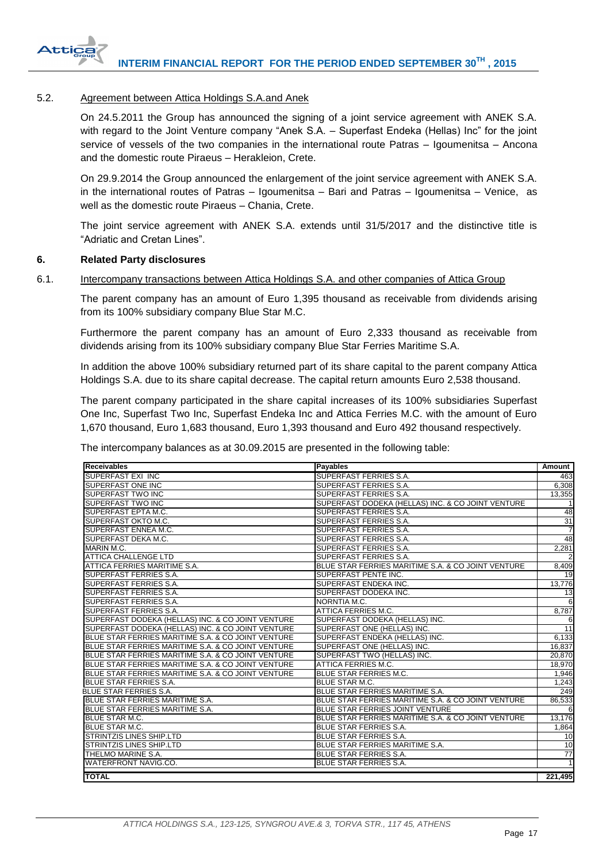

# <span id="page-17-0"></span>5.2. Agreement between Attica Holdings S.A.and Anek

On 24.5.2011 the Group has announced the signing of a joint service agreement with ANEK S.A. with regard to the Joint Venture company "Anek S.A. - Superfast Endeka (Hellas) Inc" for the joint service of vessels of the two companies in the international route Patras – Igoumenitsa – Ancona and the domestic route Piraeus – Herakleion, Crete.

On 29.9.2014 the Group announced the enlargement of the joint service agreement with ANEK S.A. in the international routes of Patras – Igoumenitsa – Bari and Patras – Igoumenitsa – Venice, as well as the domestic route Piraeus – Chania, Crete.

The joint service agreement with ANEK S.A. extends until 31/5/2017 and the distinctive title is "Adriatic and Cretan Lines".

#### <span id="page-17-1"></span>**6. Related Party disclosures**

# <span id="page-17-2"></span>6.1. Intercompany transactions between Attica Holdings S.A. and other companies of Attica Group

The parent company has an amount of Euro 1,395 thousand as receivable from dividends arising from its 100% subsidiary company Blue Star M.C.

Furthermore the parent company has an amount of Euro 2,333 thousand as receivable from dividends arising from its 100% subsidiary company Blue Star Ferries Maritime S.A.

In addition the above 100% subsidiary returned part of its share capital to the parent company Attica Holdings S.A. due to its share capital decrease. The capital return amounts Euro 2,538 thousand.

The parent company participated in the share capital increases of its 100% subsidiaries Superfast One Inc, Superfast Two Inc, Superfast Endeka Inc and Attica Ferries M.C. with the amount of Euro 1,670 thousand, Euro 1,683 thousand, Euro 1,393 thousand and Euro 492 thousand respectively.

The intercompany balances as at 30.09.2015 are presented in the following table:

| <b>Receivables</b>                                 | <b>Payables</b>                                    | Amount         |
|----------------------------------------------------|----------------------------------------------------|----------------|
| <b>SUPERFAST EXI INC</b>                           | SUPERFAST FERRIES S.A.                             | 463            |
| SUPERFAST ONE INC                                  | SUPERFAST FERRIES S.A.                             | 6,308          |
| <b>SUPERFAST TWO INC</b>                           | SUPERFAST FERRIES S.A.                             | 13,355         |
| SUPERFAST TWO INC                                  | SUPERFAST DODEKA (HELLAS) INC. & CO JOINT VENTURE  |                |
| SUPERFAST EPTA M.C.                                | SUPERFAST FERRIES S.A.                             | 48             |
| <b>SUPERFAST OKTO M.C.</b>                         | SUPERFAST FERRIES S.A.                             | 31             |
| SUPERFAST ENNEA M.C.                               | SUPERFAST FERRIES S.A.                             | $\overline{7}$ |
| SUPERFAST DEKA M.C.                                | SUPERFAST FERRIES S.A.                             | 48             |
| MARIN M.C.                                         | SUPERFAST FERRIES S.A.                             | 2,281          |
| <b>ATTICA CHALLENGE LTD</b>                        | SUPERFAST FERRIES S.A.                             | $\overline{2}$ |
| ATTICA FERRIES MARITIME S.A.                       | BLUE STAR FERRIES MARITIME S.A. & CO JOINT VENTURE | 8,409          |
| SUPERFAST FERRIES S.A.                             | SUPERFAST PENTE INC.                               | 19             |
| SUPERFAST FERRIES S.A.                             | SUPERFAST ENDEKA INC.                              | 13,776         |
| SUPERFAST FERRIES S.A.                             | SUPERFAST DODEKA INC.                              | 13             |
| SUPERFAST FERRIES S.A.                             | NORNTIA M.C.                                       | 6              |
| SUPERFAST FERRIES S.A.                             | ATTICA FERRIES M.C.                                | 8,787          |
| SUPERFAST DODEKA (HELLAS) INC. & CO JOINT VENTURE  | SUPERFAST DODEKA (HELLAS) INC.                     | 6              |
| SUPERFAST DODEKA (HELLAS) INC. & CO JOINT VENTURE  | SUPERFAST ONE (HELLAS) INC.                        | 11             |
| BLUE STAR FERRIES MARITIME S.A. & CO JOINT VENTURE | SUPERFAST ENDEKA (HELLAS) INC.                     | 6,133          |
| BLUE STAR FERRIES MARITIME S.A. & CO JOINT VENTURE | SUPERFAST ONE (HELLAS) INC.                        | 16,837         |
| BLUE STAR FERRIES MARITIME S.A. & CO JOINT VENTURE | SUPERFAST TWO (HELLAS) INC.                        | 20,870         |
| BLUE STAR FERRIES MARITIME S.A. & CO JOINT VENTURE | ATTICA FERRIES M.C.                                | 18,970         |
| BLUE STAR FERRIES MARITIME S.A. & CO JOINT VENTURE | <b>BLUE STAR FERRIES M.C.</b>                      | 1,946          |
| <b>BLUE STAR FERRIES S.A.</b>                      | <b>BLUE STAR M.C.</b>                              | 1,243          |
| <b>BLUE STAR FERRIES S.A.</b>                      | BLUE STAR FERRIES MARITIME S.A.                    | 249            |
| <b>BLUE STAR FERRIES MARITIME S.A.</b>             | BLUE STAR FERRIES MARITIME S.A. & CO JOINT VENTURE | 86,533         |
| BLUE STAR FERRIES MARITIME S.A.                    | BLUE STAR FERRIES JOINT VENTURE                    | 6              |
| <b>BLUE STAR M.C.</b>                              | BLUE STAR FERRIES MARITIME S.A. & CO JOINT VENTURE | 13,176         |
| <b>BLUE STAR M.C.</b>                              | <b>BLUE STAR FERRIES S.A.</b>                      | 1,864          |
| <b>STRINTZIS LINES SHIP.LTD</b>                    | <b>BLUE STAR FERRIES S.A.</b>                      | 10             |
| <b>STRINTZIS LINES SHIP.LTD</b>                    | BLUE STAR FERRIES MARITIME S.A.                    | 10             |
| THELMO MARINE S.A.                                 | <b>BLUE STAR FERRIES S.A.</b>                      | 77             |
| WATERFRONT NAVIG.CO.                               | <b>BLUE STAR FERRIES S.A.</b>                      | $\mathbf{1}$   |
| <b>TOTAL</b>                                       |                                                    | 221,495        |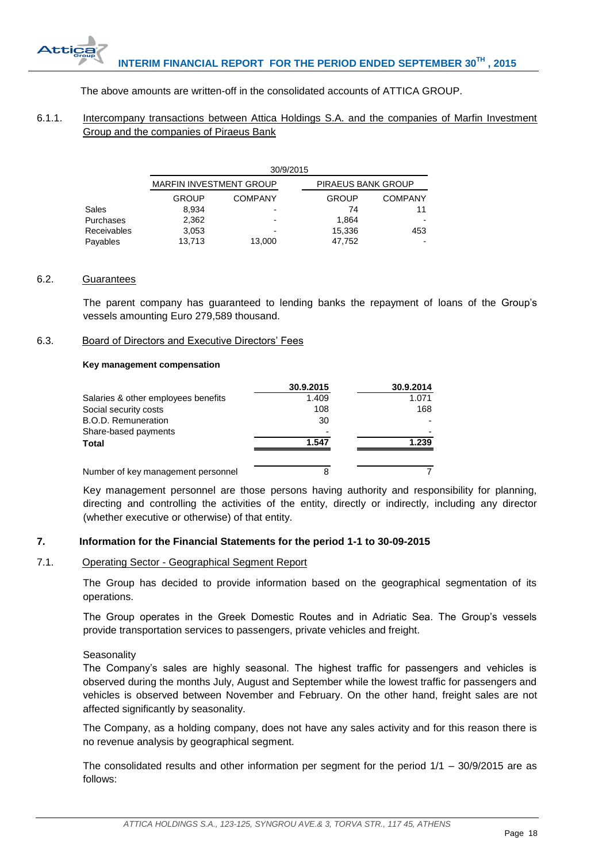# The above amounts are written-off in the consolidated accounts of ATTICA GROUP.

# <span id="page-18-0"></span>6.1.1. Intercompany transactions between Attica Holdings S.A. and the companies of Marfin Investment Group and the companies of Piraeus Bank

|             | 30/9/2015                      |                |                    |                |  |  |
|-------------|--------------------------------|----------------|--------------------|----------------|--|--|
|             | <b>MARFIN INVESTMENT GROUP</b> |                | PIRAEUS BANK GROUP |                |  |  |
|             | <b>GROUP</b>                   | <b>COMPANY</b> | <b>GROUP</b>       | <b>COMPANY</b> |  |  |
| Sales       | 8.934                          |                | 74                 | 11             |  |  |
| Purchases   | 2.362                          |                | 1.864              |                |  |  |
| Receivables | 3,053                          |                | 15,336             | 453            |  |  |
| Payables    | 13.713                         | 13,000         | 47,752             |                |  |  |

# <span id="page-18-1"></span>6.2. Guarantees

The parent company has guaranteed to lending banks the repayment of loans of the Group's vessels amounting Euro 279,589 thousand.

# <span id="page-18-2"></span>6.3. Board of Directors and Executive Directors' Fees

# **Key management compensation**

|                                     | 30.9.2015 | 30.9.2014 |
|-------------------------------------|-----------|-----------|
| Salaries & other employees benefits | 1.409     | 1.071     |
| Social security costs               | 108       | 168       |
| B.O.D. Remuneration                 | 30        |           |
| Share-based payments                |           |           |
| Total                               | 1.547     | 1.239     |
|                                     |           |           |
| Number of key management personnel  | 8         |           |

Key management personnel are those persons having authority and responsibility for planning, directing and controlling the activities of the entity, directly or indirectly, including any director (whether executive or otherwise) of that entity.

# <span id="page-18-3"></span>**7. Information for the Financial Statements for the period 1-1 to 30-09-2015**

# <span id="page-18-4"></span>7.1. Operating Sector - Geographical Segment Report

The Group has decided to provide information based on the geographical segmentation of its operations.

The Group operates in the Greek Domestic Routes and in Adriatic Sea. The Group's vessels provide transportation services to passengers, private vehicles and freight.

# **Seasonality**

The Company's sales are highly seasonal. The highest traffic for passengers and vehicles is observed during the months July, August and September while the lowest traffic for passengers and vehicles is observed between November and February. On the other hand, freight sales are not affected significantly by seasonality.

The Company, as a holding company, does not have any sales activity and for this reason there is no revenue analysis by geographical segment.

The consolidated results and other information per segment for the period 1/1 – 30/9/2015 are as follows: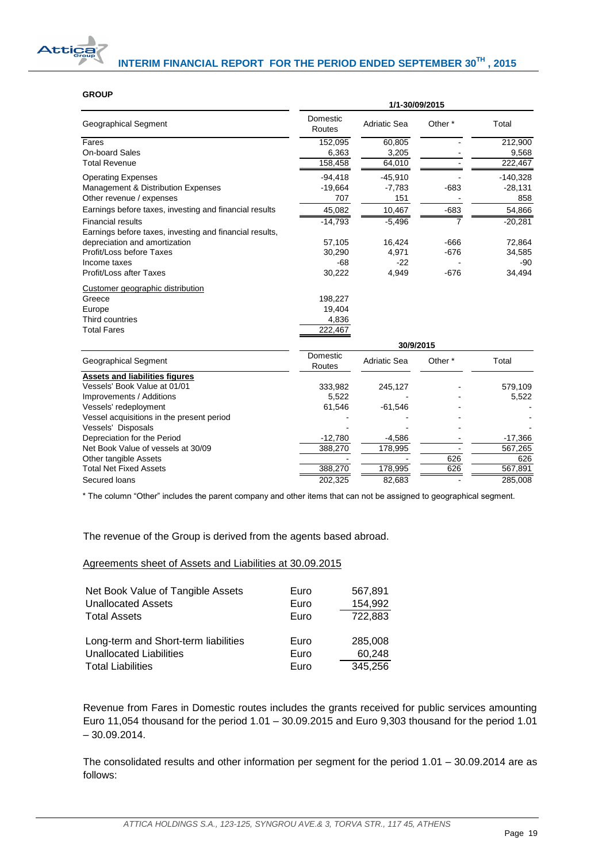

# **GROUP**

|                                                                                     | 1/1-30/09/2015     |                     |         |            |  |
|-------------------------------------------------------------------------------------|--------------------|---------------------|---------|------------|--|
| Geographical Segment                                                                | Domestic<br>Routes | <b>Adriatic Sea</b> | Other * | Total      |  |
| Fares                                                                               | 152,095            | 60,805              |         | 212,900    |  |
| On-board Sales                                                                      | 6,363              | 3,205               |         | 9,568      |  |
| <b>Total Revenue</b>                                                                | 158,458            | 64,010              |         | 222,467    |  |
| <b>Operating Expenses</b>                                                           | $-94,418$          | $-45,910$           |         | $-140,328$ |  |
| Management & Distribution Expenses                                                  | $-19,664$          | $-7,783$            | $-683$  | $-28,131$  |  |
| Other revenue / expenses                                                            | 707                | 151                 |         | 858        |  |
| Earnings before taxes, investing and financial results                              | 45,082             | 10,467              | $-683$  | 54,866     |  |
| <b>Financial results</b><br>Earnings before taxes, investing and financial results, | $-14,793$          | $-5,496$            | 7       | $-20,281$  |  |
| depreciation and amortization                                                       | 57,105             | 16,424              | $-666$  | 72,864     |  |
| Profit/Loss before Taxes                                                            | 30,290             | 4,971               | $-676$  | 34,585     |  |
| Income taxes                                                                        | $-68$              | $-22$               |         | $-90$      |  |
| Profit/Loss after Taxes                                                             | 30,222             | 4,949               | $-676$  | 34,494     |  |
| Customer geographic distribution                                                    |                    |                     |         |            |  |
| Greece                                                                              | 198,227            |                     |         |            |  |
| Europe                                                                              | 19,404             |                     |         |            |  |
| Third countries                                                                     | 4,836              |                     |         |            |  |
| <b>Total Fares</b>                                                                  | 222,467            |                     |         |            |  |
|                                                                                     | 30/9/2015          |                     |         |            |  |
| Geographical Segment                                                                | Domestic<br>Routes | <b>Adriatic Sea</b> | Other * | Total      |  |
| <b>Assets and liabilities figures</b>                                               |                    |                     |         |            |  |
| Vessels' Book Value at 01/01                                                        | 333,982            | 245,127             |         | 579,109    |  |
| Improvements / Additions                                                            | 5,522              |                     |         | 5,522      |  |
| Vessels' redeployment                                                               | 61,546             | $-61,546$           |         |            |  |
| Vessel acquisitions in the present period                                           |                    |                     |         |            |  |
| Vessels' Disposals                                                                  |                    |                     |         |            |  |
| Depreciation for the Period                                                         | $-12,780$          | $-4,586$            |         | $-17,366$  |  |
| Net Book Value of vessels at 30/09                                                  | 388,270            | 178,995             |         | 567,265    |  |
| Other tangible Assets                                                               |                    |                     | 626     | 626        |  |
| <b>Total Net Fixed Assets</b>                                                       | 388,270            | 178,995             | 626     | 567,891    |  |
| Secured loans                                                                       | 202,325            | 82,683              |         | 285,008    |  |

\* The column "Other" includes the parent company and other items that can not be assigned to geographical segment.

The revenue of the Group is derived from the agents based abroad.

Agreements sheet of Assets and Liabilities at 30.09.2015

| Net Book Value of Tangible Assets    | Euro | 567,891 |
|--------------------------------------|------|---------|
| <b>Unallocated Assets</b>            | Euro | 154,992 |
| <b>Total Assets</b>                  | Euro | 722,883 |
| Long-term and Short-term liabilities | Euro | 285,008 |
| <b>Unallocated Liabilities</b>       | Euro | 60,248  |
| <b>Total Liabilities</b>             | Euro | 345,256 |

Revenue from Fares in Domestic routes includes the grants received for public services amounting Euro 11,054 thousand for the period 1.01 – 30.09.2015 and Euro 9,303 thousand for the period 1.01 – 30.09.2014.

The consolidated results and other information per segment for the period 1.01 – 30.09.2014 are as follows: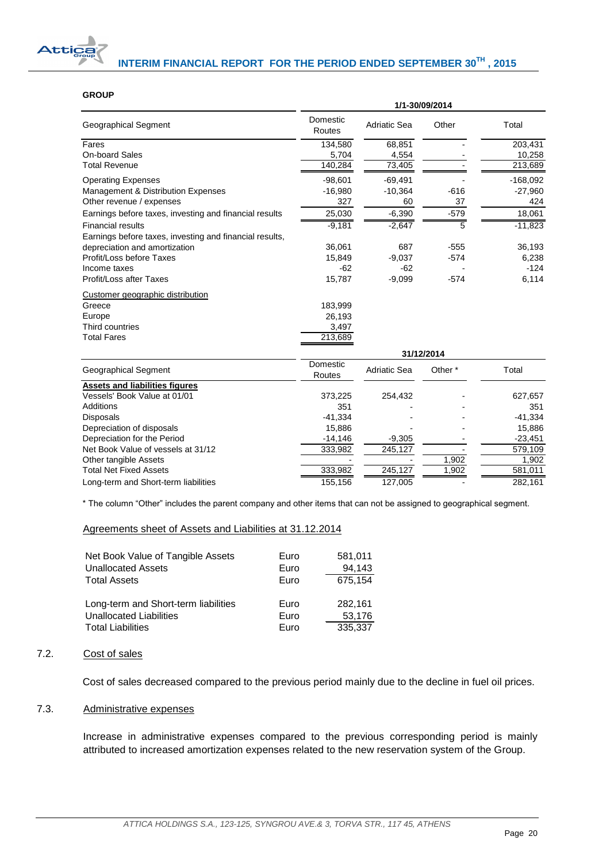

#### **GROUP**

|                                                                                     | 1/1-30/09/2014     |                     |                    |                      |
|-------------------------------------------------------------------------------------|--------------------|---------------------|--------------------|----------------------|
| Geographical Segment                                                                | Domestic<br>Routes | <b>Adriatic Sea</b> | Other              | Total                |
| Fares                                                                               | 134,580            | 68,851              |                    | 203,431              |
| On-board Sales                                                                      | 5,704              | 4,554               |                    | 10,258               |
| <b>Total Revenue</b>                                                                | 140,284            | 73,405              |                    | 213,689              |
| <b>Operating Expenses</b>                                                           | $-98,601$          | $-69,491$           |                    | $-168,092$           |
| Management & Distribution Expenses                                                  | $-16,980$          | $-10,364$           | $-616$             | $-27,960$            |
| Other revenue / expenses                                                            | 327                | 60                  | 37                 | 424                  |
| Earnings before taxes, investing and financial results                              | 25,030             | $-6,390$            | $-579$             | 18,061               |
| <b>Financial results</b><br>Earnings before taxes, investing and financial results, | $-9,181$           | $-2,647$            | 5                  | $-11,823$            |
| depreciation and amortization                                                       | 36,061             | 687                 | $-555$             | 36,193               |
| Profit/Loss before Taxes                                                            | 15,849             | $-9,037$            | $-574$             | 6,238                |
| Income taxes                                                                        | $-62$              | $-62$               |                    | $-124$               |
| Profit/Loss after Taxes                                                             | 15,787             | $-9,099$            | $-574$             | 6,114                |
| Customer geographic distribution                                                    |                    |                     |                    |                      |
| Greece                                                                              | 183,999            |                     |                    |                      |
| Europe                                                                              | 26,193             |                     |                    |                      |
| Third countries                                                                     | 3,497              |                     |                    |                      |
| <b>Total Fares</b>                                                                  | 213,689            |                     |                    |                      |
|                                                                                     |                    | 31/12/2014          |                    |                      |
| Geographical Segment                                                                | Domestic<br>Routes | <b>Adriatic Sea</b> | Other <sup>*</sup> | Total                |
| <b>Assets and liabilities figures</b>                                               |                    |                     |                    |                      |
| Vessels' Book Value at 01/01                                                        | 373,225            | 254,432             |                    | 627,657              |
| <b>Additions</b>                                                                    | 351                |                     |                    | 351                  |
| <b>Disposals</b>                                                                    | $-41,334$          |                     |                    | $-41,334$            |
| Depreciation of disposals                                                           | 15,886             |                     |                    | 15,886               |
| Depreciation for the Period<br>Net Book Value of vessels at 31/12                   | $-14,146$          | $-9,305$<br>245,127 |                    | $-23,451$<br>579,109 |
|                                                                                     | 333,982            |                     | 1,902              | 1,902                |
| Other tangible Assets<br><b>Total Net Fixed Assets</b>                              | 333,982            | 245,127             | 1,902              | 581,011              |
|                                                                                     | 155, 156           | 127,005             |                    | 282,161              |
| Long-term and Short-term liabilities                                                |                    |                     |                    |                      |

\* The column "Other" includes the parent company and other items that can not be assigned to geographical segment.

#### Agreements sheet of Assets and Liabilities at 31.12.2014

| Net Book Value of Tangible Assets    | Euro | 581,011 |
|--------------------------------------|------|---------|
| <b>Unallocated Assets</b>            | Euro | 94.143  |
| <b>Total Assets</b>                  | Euro | 675,154 |
| Long-term and Short-term liabilities | Euro | 282.161 |
| <b>Unallocated Liabilities</b>       | Euro | 53,176  |
| <b>Total Liabilities</b>             | Euro | 335,337 |

# <span id="page-20-0"></span>7.2. Cost of sales

Cost of sales decreased compared to the previous period mainly due to the decline in fuel oil prices.

# <span id="page-20-1"></span>7.3. Administrative expenses

Increase in administrative expenses compared to the previous corresponding period is mainly attributed to increased amortization expenses related to the new reservation system of the Group.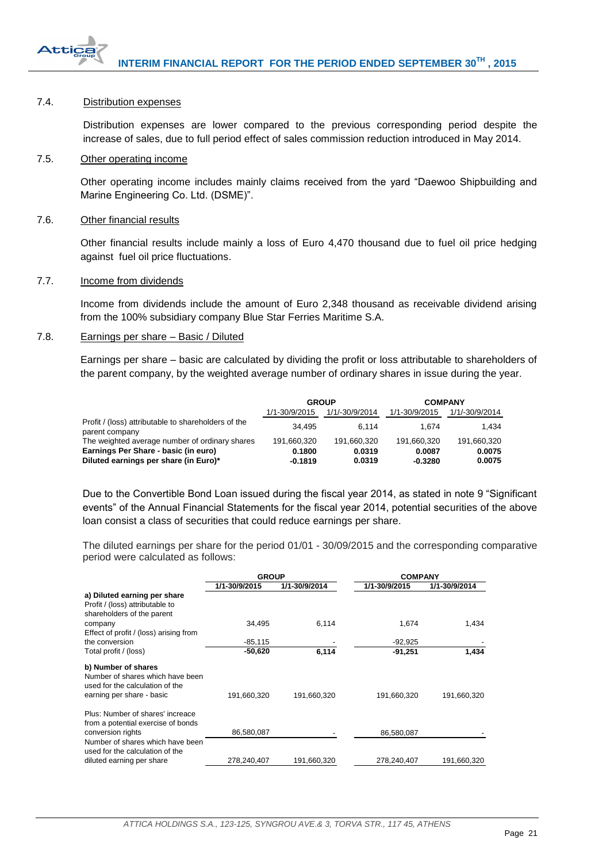

# <span id="page-21-0"></span>7.4. Distribution expenses

Distribution expenses are lower compared to the previous corresponding period despite the increase of sales, due to full period effect of sales commission reduction introduced in May 2014.

# <span id="page-21-1"></span>7.5. Other operating income

Other operating income includes mainly claims received from the yard "Daewoo Shipbuilding and Marine Engineering Co. Ltd. (DSME)".

# <span id="page-21-2"></span>7.6. Other financial results

Other financial results include mainly a loss of Euro 4,470 thousand due to fuel oil price hedging against fuel oil price fluctuations.

# <span id="page-21-3"></span>7.7. Income from dividends

Income from dividends include the amount of Euro 2,348 thousand as receivable dividend arising from the 100% subsidiary company Blue Star Ferries Maritime S.A.

# <span id="page-21-4"></span>7.8. Earnings per share – Basic / Diluted

Earnings per share – basic are calculated by dividing the profit or loss attributable to shareholders of the parent company, by the weighted average number of ordinary shares in issue during the year.

|                                                                               | <b>GROUP</b>        |                  | <b>COMPANY</b>      |                  |
|-------------------------------------------------------------------------------|---------------------|------------------|---------------------|------------------|
|                                                                               | 1/1-30/9/2015       | 1/1/-30/9/2014   | 1/1-30/9/2015       | 1/1/-30/9/2014   |
| Profit / (loss) attributable to shareholders of the<br>parent company         | 34.495              | 6.114            | 1.674               | 1.434            |
| The weighted average number of ordinary shares                                | 191.660.320         | 191.660.320      | 191.660.320         | 191,660,320      |
| Earnings Per Share - basic (in euro)<br>Diluted earnings per share (in Euro)* | 0.1800<br>$-0.1819$ | 0.0319<br>0.0319 | 0.0087<br>$-0.3280$ | 0.0075<br>0.0075 |

Due to the Convertible Bond Loan issued during the fiscal year 2014, as stated in note 9 "Significant events" of the Annual Financial Statements for the fiscal year 2014, potential securities of the above loan consist a class of securities that could reduce earnings per share.

The diluted earnings per share for the period 01/01 - 30/09/2015 and the corresponding comparative period were calculated as follows:

|                                                                                                                         | <b>GROUP</b>  |               | <b>COMPANY</b> |               |
|-------------------------------------------------------------------------------------------------------------------------|---------------|---------------|----------------|---------------|
|                                                                                                                         | 1/1-30/9/2015 | 1/1-30/9/2014 | 1/1-30/9/2015  | 1/1-30/9/2014 |
| a) Diluted earning per share<br>Profit / (loss) attributable to<br>shareholders of the parent                           |               |               |                |               |
| company<br>Effect of profit / (loss) arising from                                                                       | 34.495        | 6,114         | 1,674          | 1,434         |
| the conversion                                                                                                          | $-85,115$     |               | $-92,925$      |               |
| Total profit / (loss)                                                                                                   | $-50,620$     | 6,114         | $-91,251$      | 1,434         |
| b) Number of shares<br>Number of shares which have been<br>used for the calculation of the<br>earning per share - basic | 191,660,320   | 191,660,320   | 191,660,320    | 191,660,320   |
| Plus: Number of shares' increace<br>from a potential exercise of bonds<br>conversion rights                             | 86,580,087    |               | 86,580,087     |               |
| Number of shares which have been<br>used for the calculation of the<br>diluted earning per share                        | 278.240.407   | 191.660.320   | 278,240,407    | 191.660.320   |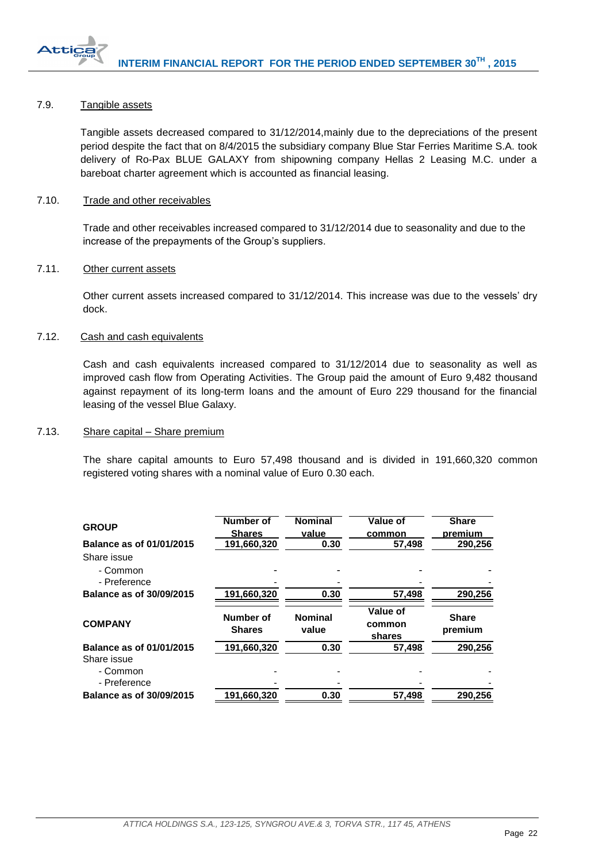

# <span id="page-22-0"></span>7.9. Tangible assets

Tangible assets decreased compared to 31/12/2014,mainly due to the depreciations of the present period despite the fact that on 8/4/2015 the subsidiary company Blue Star Ferries Maritime S.A. took delivery of Ro-Pax BLUE GALAXY from shipowning company Hellas 2 Leasing M.C. under a bareboat charter agreement which is accounted as financial leasing.

# <span id="page-22-1"></span>7.10. Trade and other receivables

Trade and other receivables increased compared to 31/12/2014 due to seasonality and due to the increase of the prepayments of the Group's suppliers.

#### <span id="page-22-2"></span>7.11. Other current assets

Other current assets increased compared to 31/12/2014. This increase was due to the vessels' dry dock.

# <span id="page-22-3"></span>7.12. Cash and cash equivalents

Cash and cash equivalents increased compared to 31/12/2014 due to seasonality as well as improved cash flow from Operating Activities. The Group paid the amount of Euro 9,482 thousand against repayment of its long-term loans and the amount of Euro 229 thousand for the financial leasing of the vessel Blue Galaxy.

# <span id="page-22-4"></span>7.13. Share capital – Share premium

The share capital amounts to Euro 57,498 thousand and is divided in 191,660,320 common registered voting shares with a nominal value of Euro 0.30 each.

| <b>GROUP</b><br>Balance as of 01/01/2015 | Number of<br><b>Shares</b><br>191,660,320 | <b>Nominal</b><br>value<br>0.30 | Value of<br>common<br>57.498 | <b>Share</b><br>premium<br>290.256 |
|------------------------------------------|-------------------------------------------|---------------------------------|------------------------------|------------------------------------|
| Share issue<br>- Common<br>- Preference  |                                           |                                 |                              |                                    |
| Balance as of 30/09/2015                 | 191,660,320                               | 0.30                            | 57,498                       | 290,256                            |
| <b>COMPANY</b>                           | <b>Number of</b><br><b>Shares</b>         | <b>Nominal</b><br>value         | Value of<br>common<br>shares | <b>Share</b><br>premium            |
| Balance as of 01/01/2015                 | 191,660,320                               | 0.30                            | 57.498                       | 290.256                            |
| Share issue<br>- Common<br>- Preference  |                                           |                                 |                              |                                    |
| Balance as of 30/09/2015                 | 191,660,320                               | 0.30                            | 57,498                       | 290.256                            |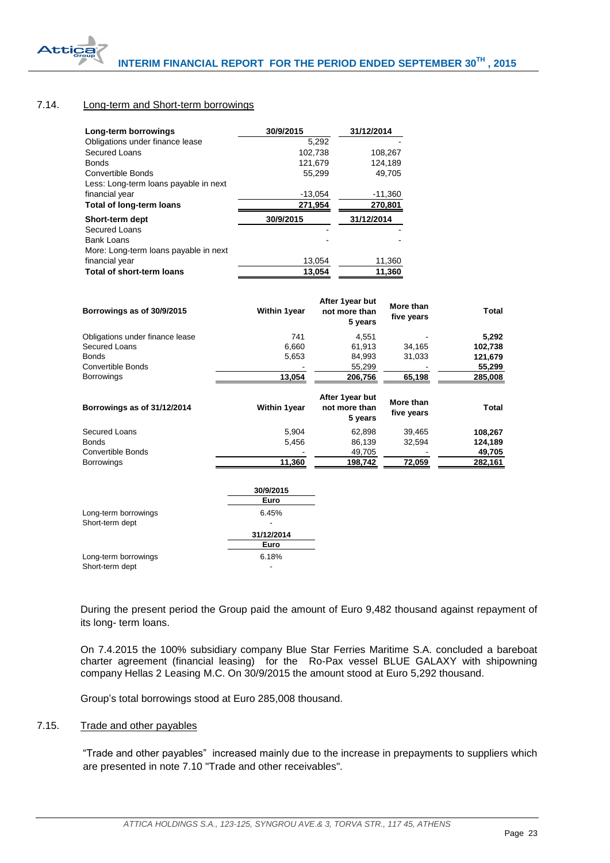

# <span id="page-23-0"></span>7.14. Long-term and Short-term borrowings

| 30/9/2015 | 31/12/2014 |
|-----------|------------|
| 5.292     |            |
| 102,738   | 108,267    |
| 121,679   | 124.189    |
| 55.299    | 49.705     |
|           |            |
| $-13,054$ | -11,360    |
| 271,954   | 270,801    |
| 30/9/2015 | 31/12/2014 |
|           |            |
|           |            |
|           |            |
| 13,054    | 11,360     |
| 13,054    | 11,360     |
|           |            |

| Borrowings as of 30/9/2015      | <b>Within 1year</b> | After 1year but<br>not more than<br>5 vears | More than<br>five years | Total   |
|---------------------------------|---------------------|---------------------------------------------|-------------------------|---------|
| Obligations under finance lease | 741                 | 4.551                                       |                         | 5,292   |
| Secured Loans                   | 6,660               | 61.913                                      | 34,165                  | 102,738 |
| Bonds                           | 5,653               | 84,993                                      | 31,033                  | 121,679 |
| Convertible Bonds               |                     | 55,299                                      |                         | 55,299  |
| <b>Borrowings</b>               | 13,054              | 206,756                                     | 65,198                  | 285,008 |
| Borrowings as of 31/12/2014     | <b>Within 1year</b> | After 1year but<br>not more than<br>5 years | More than<br>five years | Total   |
| Secured Loans                   | 5,904               | 62,898                                      | 39.465                  | 108,267 |
| <b>Bonds</b>                    | 5,456               | 86,139                                      | 32,594                  | 124,189 |
| Convertible Bonds               |                     | 49,705                                      |                         | 49,705  |
| <b>Borrowings</b>               | 11,360              | 198,742                                     | 72,059                  | 282,161 |

|                      | 30/9/2015  |
|----------------------|------------|
|                      | Euro       |
| Long-term borrowings | 6.45%      |
| Short-term dept      |            |
|                      | 31/12/2014 |
|                      | Euro       |
| Long-term borrowings | 6.18%      |
| Short-term dept      |            |

During the present period the Group paid the amount of Euro 9,482 thousand against repayment of its long- term loans.

On 7.4.2015 the 100% subsidiary company Blue Star Ferries Maritime S.A. concluded a bareboat charter agreement (financial leasing) for the Ro-Pax vessel BLUE GALAXY with shipowning company Hellas 2 Leasing M.C. On 30/9/2015 the amount stood at Euro 5,292 thousand.

Group's total borrowings stood at Euro 285,008 thousand.

# <span id="page-23-1"></span>7.15. Trade and other payables

"Trade and other payables" increased mainly due to the increase in prepayments to suppliers which are presented in note 7.10 "Trade and other receivables".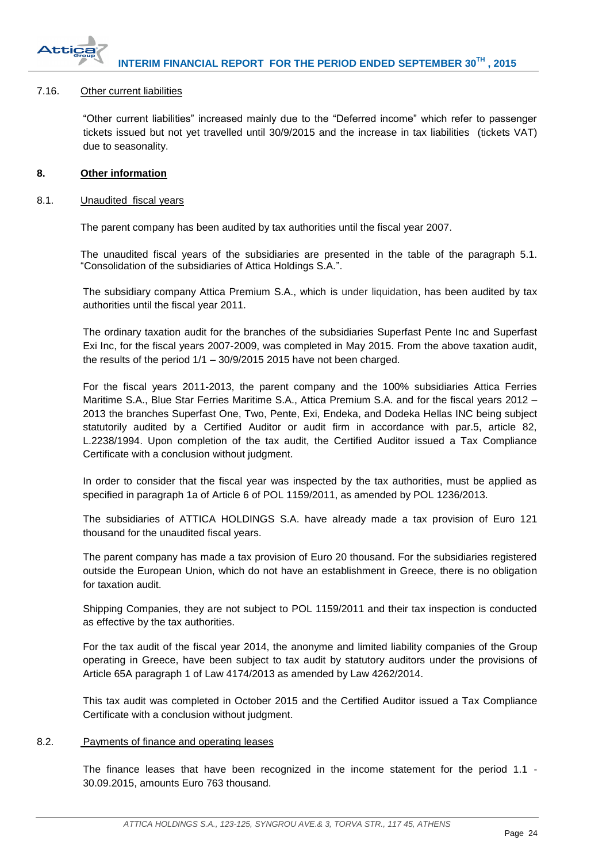

# <span id="page-24-0"></span>7.16. Other current liabilities

"Other current liabilities" increased mainly due to the "Deferred income" which refer to passenger tickets issued but not yet travelled until 30/9/2015 and the increase in tax liabilities (tickets VAT) due to seasonality.

# <span id="page-24-1"></span>**8. Other information**

# <span id="page-24-2"></span>8.1. Unaudited fiscal years

The parent company has been audited by tax authorities until the fiscal year 2007.

The unaudited fiscal years of the subsidiaries are presented in the table of the paragraph 5.1. "Consolidation of the subsidiaries of Attica Holdings S.A.".

The subsidiary company Attica Premium S.A., which is under liquidation, has been audited by tax authorities until the fiscal year 2011.

The ordinary taxation audit for the branches of the subsidiaries Superfast Pente Inc and Superfast Exi Inc, for the fiscal years 2007-2009, was completed in May 2015. From the above taxation audit, the results of the period  $1/1 - 30/9/2015$  2015 have not been charged.

For the fiscal years 2011-2013, the parent company and the 100% subsidiaries Attica Ferries Maritime S.A., Blue Star Ferries Maritime S.A., Attica Premium S.A. and for the fiscal years 2012 – 2013 the branches Superfast One, Two, Pente, Exi, Endeka, and Dodeka Hellas INC being subject statutorily audited by a Certified Auditor or audit firm in accordance with par.5, article 82, L.2238/1994. Upon completion of the tax audit, the Certified Auditor issued a Tax Compliance Certificate with a conclusion without judgment.

In order to consider that the fiscal year was inspected by the tax authorities, must be applied as specified in paragraph 1a of Article 6 of POL 1159/2011, as amended by POL 1236/2013.

The subsidiaries of ATTICA HOLDINGS S.A. have already made a tax provision of Euro 121 thousand for the unaudited fiscal years.

The parent company has made a tax provision of Euro 20 thousand. For the subsidiaries registered outside the European Union, which do not have an establishment in Greece, there is no obligation for taxation audit.

Shipping Companies, they are not subject to POL 1159/2011 and their tax inspection is conducted as effective by the tax authorities.

For the tax audit of the fiscal year 2014, the anonyme and limited liability companies of the Group operating in Greece, have been subject to tax audit by statutory auditors under the provisions of Article 65A paragraph 1 of Law 4174/2013 as amended by Law 4262/2014.

This tax audit was completed in October 2015 and the Certified Auditor issued a Tax Compliance Certificate with a conclusion without judgment.

# <span id="page-24-3"></span>8.2. Payments of finance and operating leases

The finance leases that have been recognized in the income statement for the period 1.1 - 30.09.2015, amounts Euro 763 thousand.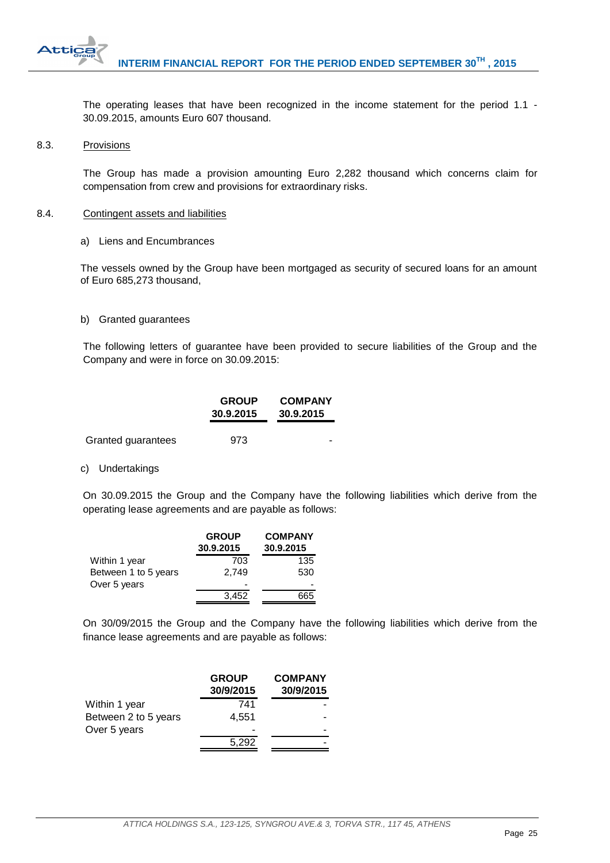

The operating leases that have been recognized in the income statement for the period 1.1 - 30.09.2015, amounts Euro 607 thousand.

#### <span id="page-25-0"></span>8.3. Provisions

The Group has made a provision amounting Euro 2,282 thousand which concerns claim for compensation from crew and provisions for extraordinary risks.

#### <span id="page-25-1"></span>8.4. Contingent assets and liabilities

a) Liens and Encumbrances

The vessels owned by the Group have been mortgaged as security of secured loans for an amount of Euro 685,273 thousand,

#### b) Granted guarantees

The following letters of guarantee have been provided to secure liabilities of the Group and the Company and were in force on 30.09.2015:

|                    | <b>GROUP</b><br>30.9.2015 | <b>COMPANY</b><br>30.9.2015 |
|--------------------|---------------------------|-----------------------------|
| Granted guarantees | 973                       |                             |

# c) Undertakings

On 30.09.2015 the Group and the Company have the following liabilities which derive from the operating lease agreements and are payable as follows:

| <b>GROUP</b><br>30.9.2015 | <b>COMPANY</b><br>30.9.2015 |
|---------------------------|-----------------------------|
| 703                       | 135                         |
| 2.749                     | 530                         |
|                           |                             |
| 3.452                     | 665                         |
|                           |                             |

On 30/09/2015 the Group and the Company have the following liabilities which derive from the finance lease agreements and are payable as follows:

|                      | <b>GROUP</b><br>30/9/2015 | <b>COMPANY</b><br>30/9/2015 |
|----------------------|---------------------------|-----------------------------|
|                      |                           |                             |
| Within 1 year        | 741                       |                             |
| Between 2 to 5 years | 4.551                     |                             |
| Over 5 years         |                           |                             |
|                      | 5.292                     |                             |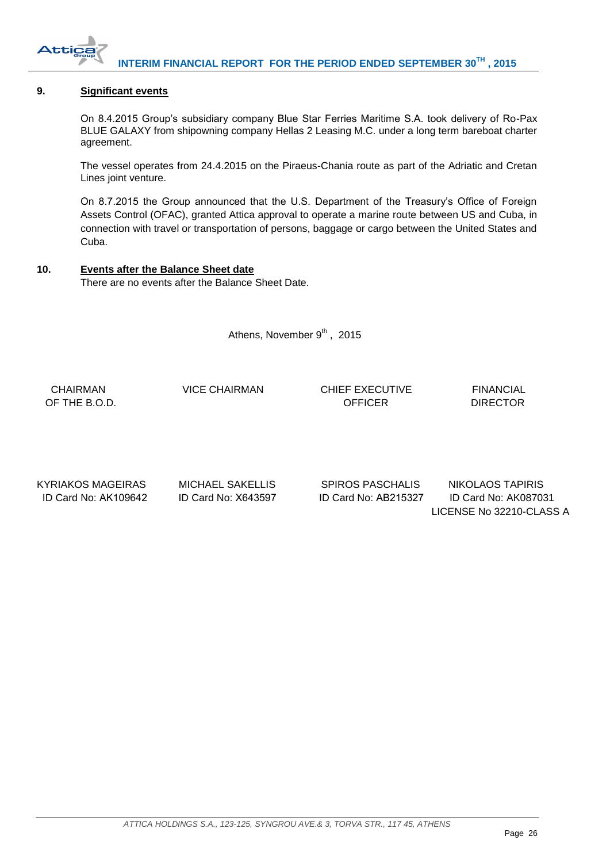

# <span id="page-26-0"></span>**9. Significant events**

On 8.4.2015 Group's subsidiary company Blue Star Ferries Maritime S.A. took delivery of Ro-Pax BLUE GALAXY from shipowning company Hellas 2 Leasing M.C. under a long term bareboat charter agreement.

The vessel operates from 24.4.2015 on the Piraeus-Chania route as part of the Adriatic and Cretan Lines joint venture.

On 8.7.2015 the Group announced that the U.S. Department of the Treasury's Office of Foreign Assets Control (OFAC), granted Attica approval to operate a marine route between US and Cuba, in connection with travel or transportation of persons, baggage or cargo between the United States and Cuba.

# <span id="page-26-1"></span>**10. Events after the Balance Sheet date**

There are no events after the Balance Sheet Date.

Athens, November 9<sup>th</sup>, 2015

 CHAIRMAN VICE CHAIRMAN CHIEF EXECUTIVE FINANCIAL OF THE B.O.D. CONTROL CONTROL CONTROL CONTROL CONTROL CONTROL CONTROL CONTROL CONTROL CONTROL CONTROL CONTROL CONTROL CONTROL CONTROL CONTROL CONTROL CONTROL CONTROL CONTROL CONTROL CONTROL CONTROL CONTROL CONTROL CONTROL

KYRIAKOS MAGEIRAS MICHAEL SAKELLIS SPIROS PASCHALIS NIKOLAOS TAPIRIS

 ID Card No: ΑΚ109642 ID Card No: Χ643597 ID Card No: ΑΒ215327 ID Card No: AK087031 LICENSE No 32210-CLASS A